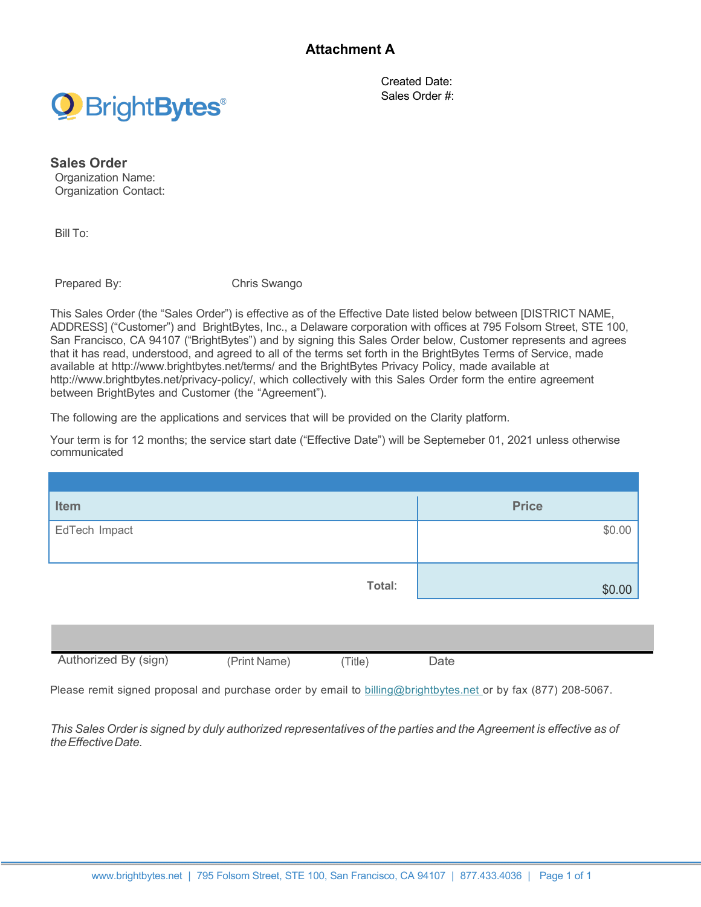

Created Date: Sales Order #:

**Sales Order**  Organization Name: Organization Contact:

Bill To:

Prepared By: Chris Swango

This Sales Order (the "Sales Order") is effective as of the Effective Date listed below between [DISTRICT NAME, ADDRESS] ("Customer") and BrightBytes, Inc., a Delaware corporation with offices at 795 Folsom Street, STE 100, San Francisco, CA 94107 ("BrightBytes") and by signing this Sales Order below, Customer represents and agrees that it has read, understood, and agreed to all of the terms set forth in the BrightBytes Terms of Service, made available at http://www.brightbytes.net/terms/ and the BrightBytes Privacy Policy, made available at http://www.brightbytes.net/privacy-policy/, which collectively with this Sales Order form the entire agreement between BrightBytes and Customer (the "Agreement").

The following are the applications and services that will be provided on the Clarity platform.

Your term is for 12 months; the service start date ("Effective Date") will be Septemeber 01, 2021 unless otherwise communicated

| Item          | <b>Price</b> |
|---------------|--------------|
| EdTech Impact | \$0.00       |
| Total:        | \$0.00       |

| Authorized<br>'sian,<br><b>BV</b> | Print<br>Name. | Title, | Jate |  |
|-----------------------------------|----------------|--------|------|--|
|                                   |                |        |      |  |
|                                   |                |        |      |  |

Please remit signed proposal and purchase order by email to billing@brightbytes.net or by fax (877) 208-5067.

This Sales Order is signed by duly authorized representatives of the parties and the Agreement is effective as of *theEffectiveDate.*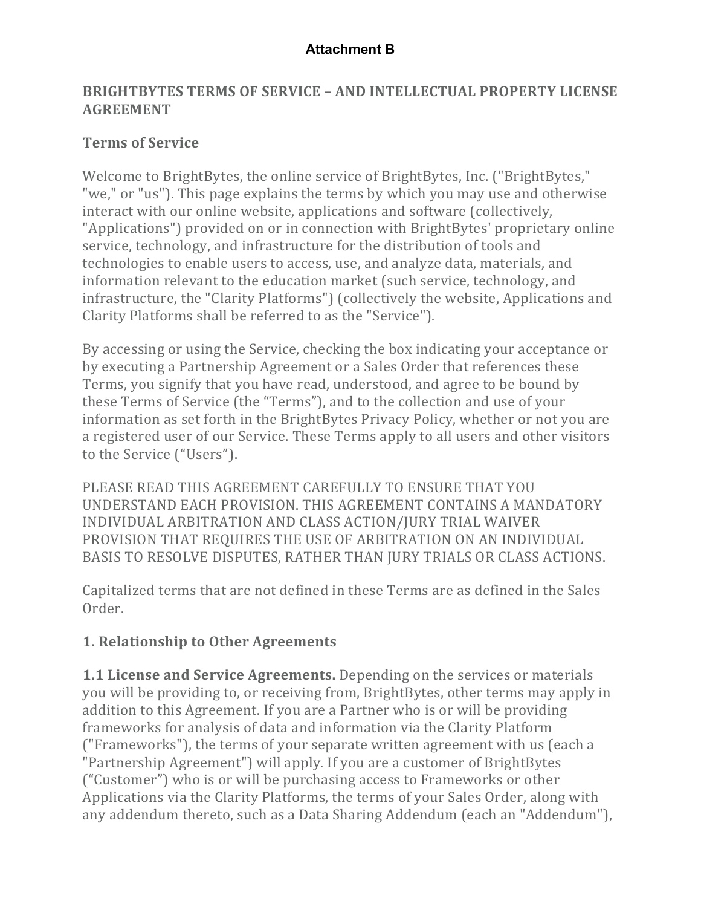#### **BRIGHTBYTES TERMS OF SERVICE - AND INTELLECTUAL PROPERTY LICENSE AGREEMENT**

#### **Terms of Service**

Welcome to BrightBytes, the online service of BrightBytes, Inc. ("BrightBytes," "we," or "us"). This page explains the terms by which you may use and otherwise interact with our online website, applications and software (collectively, "Applications") provided on or in connection with BrightBytes' proprietary online service, technology, and infrastructure for the distribution of tools and technologies to enable users to access, use, and analyze data, materials, and information relevant to the education market (such service, technology, and infrastructure, the "Clarity Platforms") (collectively the website, Applications and Clarity Platforms shall be referred to as the "Service").

By accessing or using the Service, checking the box indicating your acceptance or by executing a Partnership Agreement or a Sales Order that references these Terms, you signify that you have read, understood, and agree to be bound by these Terms of Service (the "Terms"), and to the collection and use of your information as set forth in the BrightBytes Privacy Policy, whether or not you are a registered user of our Service. These Terms apply to all users and other visitors to the Service ("Users").

PLEASE READ THIS AGREEMENT CAREFULLY TO ENSURE THAT YOU UNDERSTAND EACH PROVISION. THIS AGREEMENT CONTAINS A MANDATORY INDIVIDUAL ARBITRATION AND CLASS ACTION/JURY TRIAL WAIVER PROVISION THAT REQUIRES THE USE OF ARBITRATION ON AN INDIVIDUAL BASIS TO RESOLVE DISPUTES, RATHER THAN JURY TRIALS OR CLASS ACTIONS.

Capitalized terms that are not defined in these Terms are as defined in the Sales Order.

#### **1. Relationship to Other Agreements**

**1.1 License and Service Agreements.** Depending on the services or materials you will be providing to, or receiving from, BrightBytes, other terms may apply in addition to this Agreement. If you are a Partner who is or will be providing frameworks for analysis of data and information via the Clarity Platform ("Frameworks"), the terms of your separate written agreement with us (each a "Partnership Agreement") will apply. If you are a customer of BrightBytes ("Customer") who is or will be purchasing access to Frameworks or other Applications via the Clarity Platforms, the terms of your Sales Order, along with any addendum thereto, such as a Data Sharing Addendum (each an "Addendum"),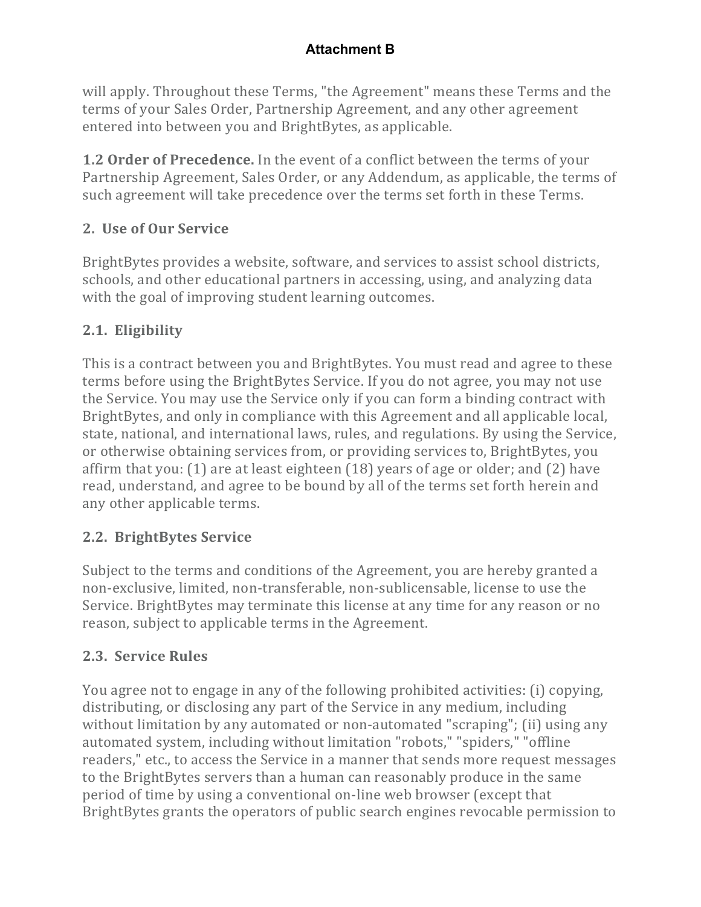will apply. Throughout these Terms, "the Agreement" means these Terms and the terms of your Sales Order, Partnership Agreement, and any other agreement entered into between you and BrightBytes, as applicable.

**1.2 Order of Precedence.** In the event of a conflict between the terms of your Partnership Agreement, Sales Order, or any Addendum, as applicable, the terms of such agreement will take precedence over the terms set forth in these Terms.

# **2. Use of Our Service**

BrightBytes provides a website, software, and services to assist school districts, schools, and other educational partners in accessing, using, and analyzing data with the goal of improving student learning outcomes.

# **2.1. Eligibility**

This is a contract between you and BrightBytes. You must read and agree to these terms before using the BrightBytes Service. If you do not agree, you may not use the Service. You may use the Service only if you can form a binding contract with BrightBytes, and only in compliance with this Agreement and all applicable local, state, national, and international laws, rules, and regulations. By using the Service, or otherwise obtaining services from, or providing services to, BrightBytes, you affirm that you:  $(1)$  are at least eighteen  $(18)$  years of age or older; and  $(2)$  have read, understand, and agree to be bound by all of the terms set forth herein and any other applicable terms.

# **2.2. BrightBytes Service**

Subject to the terms and conditions of the Agreement, you are hereby granted a non-exclusive, limited, non-transferable, non-sublicensable, license to use the Service. BrightBytes may terminate this license at any time for any reason or no reason, subject to applicable terms in the Agreement.

# **2.3. Service Rules**

You agree not to engage in any of the following prohibited activities: (i) copying, distributing, or disclosing any part of the Service in any medium, including without limitation by any automated or non-automated "scraping"; (ii) using any automated system, including without limitation "robots," "spiders," "offline readers," etc., to access the Service in a manner that sends more request messages to the BrightBytes servers than a human can reasonably produce in the same period of time by using a conventional on-line web browser (except that BrightBytes grants the operators of public search engines revocable permission to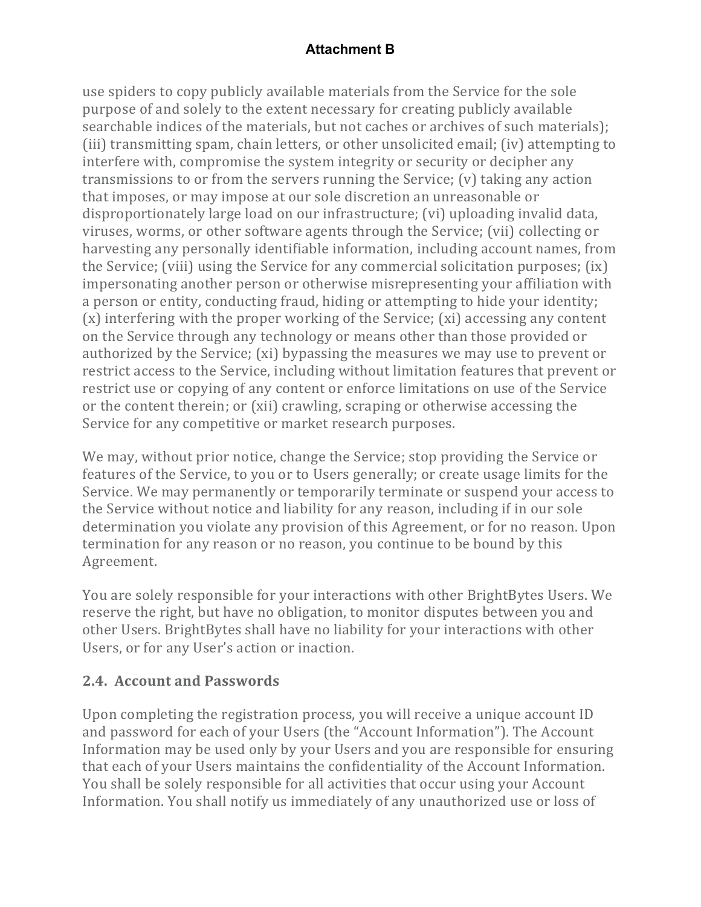use spiders to copy publicly available materials from the Service for the sole purpose of and solely to the extent necessary for creating publicly available searchable indices of the materials, but not caches or archives of such materials); (iii) transmitting spam, chain letters, or other unsolicited email; (iv) attempting to interfere with, compromise the system integrity or security or decipher any transmissions to or from the servers running the Service;  $(v)$  taking any action that imposes, or may impose at our sole discretion an unreasonable or disproportionately large load on our infrastructure; (vi) uploading invalid data, viruses, worms, or other software agents through the Service; (vii) collecting or harvesting any personally identifiable information, including account names, from the Service; (viii) using the Service for any commercial solicitation purposes;  $(ix)$ impersonating another person or otherwise misrepresenting your affiliation with a person or entity, conducting fraud, hiding or attempting to hide your identity;  $(x)$  interfering with the proper working of the Service;  $(xi)$  accessing any content on the Service through any technology or means other than those provided or authorized by the Service; (xi) bypassing the measures we may use to prevent or restrict access to the Service, including without limitation features that prevent or restrict use or copying of any content or enforce limitations on use of the Service or the content therein; or (xii) crawling, scraping or otherwise accessing the Service for any competitive or market research purposes.

We may, without prior notice, change the Service; stop providing the Service or features of the Service, to you or to Users generally; or create usage limits for the Service. We may permanently or temporarily terminate or suspend your access to the Service without notice and liability for any reason, including if in our sole determination you violate any provision of this Agreement, or for no reason. Upon termination for any reason or no reason, you continue to be bound by this Agreement.

You are solely responsible for your interactions with other BrightBytes Users. We reserve the right, but have no obligation, to monitor disputes between you and other Users. BrightBytes shall have no liability for your interactions with other Users, or for any User's action or inaction.

# **2.4. Account and Passwords**

Upon completing the registration process, you will receive a unique account ID and password for each of your Users (the "Account Information"). The Account Information may be used only by your Users and you are responsible for ensuring that each of your Users maintains the confidentiality of the Account Information. You shall be solely responsible for all activities that occur using your Account Information. You shall notify us immediately of any unauthorized use or loss of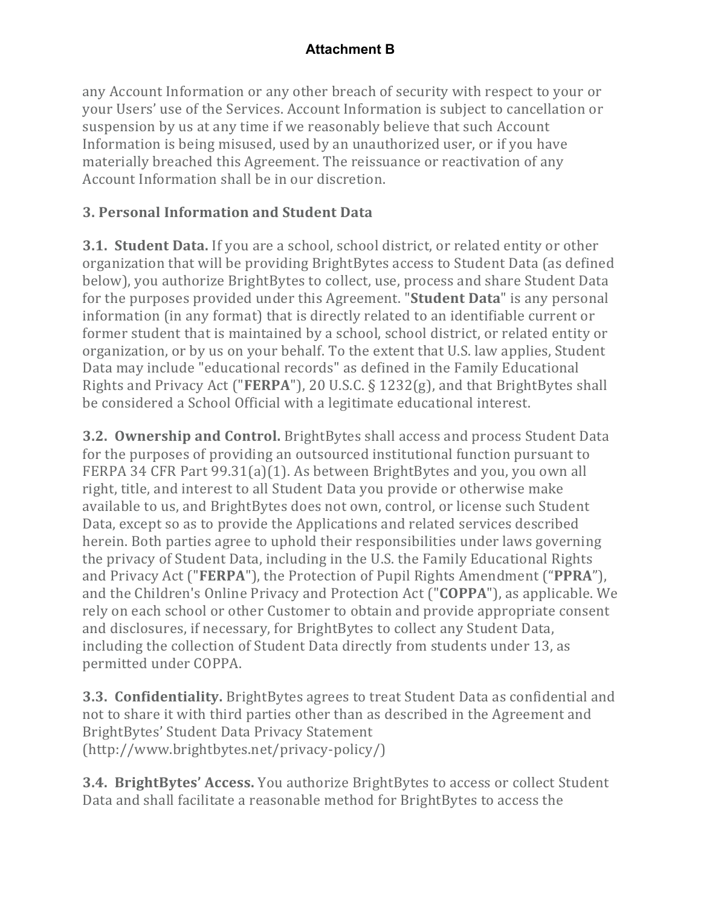any Account Information or any other breach of security with respect to your or your Users' use of the Services. Account Information is subject to cancellation or suspension by us at any time if we reasonably believe that such Account Information is being misused, used by an unauthorized user, or if you have materially breached this Agreement. The reissuance or reactivation of any Account Information shall be in our discretion.

# **3. Personal Information and Student Data**

**3.1. Student Data.** If you are a school, school district, or related entity or other organization that will be providing BrightBytes access to Student Data (as defined below), you authorize BrightBytes to collect, use, process and share Student Data for the purposes provided under this Agreement. "**Student Data**" is any personal information (in any format) that is directly related to an identifiable current or former student that is maintained by a school, school district, or related entity or organization, or by us on your behalf. To the extent that U.S. law applies, Student Data may include "educational records" as defined in the Family Educational Rights and Privacy Act ("**FERPA**"), 20 U.S.C.  $\S$  1232(g), and that BrightBytes shall be considered a School Official with a legitimate educational interest.

**3.2. Ownership and Control.** BrightBytes shall access and process Student Data for the purposes of providing an outsourced institutional function pursuant to FERPA 34 CFR Part  $99.31(a)(1)$ . As between BrightBytes and you, you own all right, title, and interest to all Student Data you provide or otherwise make available to us, and BrightBytes does not own, control, or license such Student Data, except so as to provide the Applications and related services described herein. Both parties agree to uphold their responsibilities under laws governing the privacy of Student Data, including in the U.S. the Family Educational Rights and Privacy Act ("FERPA"), the Protection of Pupil Rights Amendment ("PPRA"), and the Children's Online Privacy and Protection Act ("**COPPA**"), as applicable. We rely on each school or other Customer to obtain and provide appropriate consent and disclosures, if necessary, for BrightBytes to collect any Student Data, including the collection of Student Data directly from students under 13, as permitted under COPPA.

**3.3. Confidentiality.** BrightBytes agrees to treat Student Data as confidential and not to share it with third parties other than as described in the Agreement and BrightBytes' Student Data Privacy Statement (http://www.brightbytes.net/privacy-policy/)

**3.4. BrightBytes' Access.** You authorize BrightBytes to access or collect Student Data and shall facilitate a reasonable method for BrightBytes to access the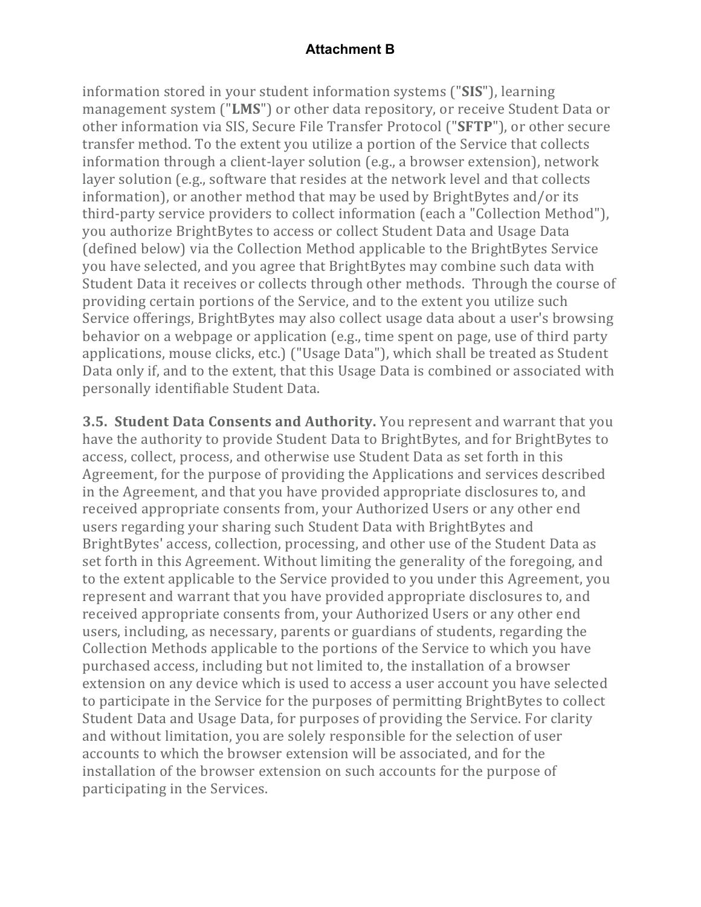information stored in your student information systems ("SIS"), learning management system ("LMS") or other data repository, or receive Student Data or other information via SIS, Secure File Transfer Protocol ("SFTP"), or other secure transfer method. To the extent you utilize a portion of the Service that collects information through a client-layer solution (e.g., a browser extension), network layer solution (e.g., software that resides at the network level and that collects information), or another method that may be used by BrightBytes and/or its third-party service providers to collect information (each a "Collection Method"), you authorize BrightBytes to access or collect Student Data and Usage Data (defined below) via the Collection Method applicable to the BrightBytes Service you have selected, and you agree that BrightBytes may combine such data with Student Data it receives or collects through other methods. Through the course of providing certain portions of the Service, and to the extent you utilize such Service offerings, BrightBytes may also collect usage data about a user's browsing behavior on a webpage or application  $(e.g., time spent on page, use of third party)$ applications, mouse clicks, etc.) ("Usage Data"), which shall be treated as Student Data only if, and to the extent, that this Usage Data is combined or associated with personally identifiable Student Data.

**3.5. Student Data Consents and Authority.** You represent and warrant that you have the authority to provide Student Data to BrightBytes, and for BrightBytes to access, collect, process, and otherwise use Student Data as set forth in this Agreement, for the purpose of providing the Applications and services described in the Agreement, and that you have provided appropriate disclosures to, and received appropriate consents from, your Authorized Users or any other end users regarding your sharing such Student Data with BrightBytes and BrightBytes' access, collection, processing, and other use of the Student Data as set forth in this Agreement. Without limiting the generality of the foregoing, and to the extent applicable to the Service provided to you under this Agreement, you represent and warrant that you have provided appropriate disclosures to, and received appropriate consents from, your Authorized Users or any other end users, including, as necessary, parents or guardians of students, regarding the Collection Methods applicable to the portions of the Service to which you have purchased access, including but not limited to, the installation of a browser extension on any device which is used to access a user account you have selected to participate in the Service for the purposes of permitting BrightBytes to collect Student Data and Usage Data, for purposes of providing the Service. For clarity and without limitation, you are solely responsible for the selection of user accounts to which the browser extension will be associated, and for the installation of the browser extension on such accounts for the purpose of participating in the Services.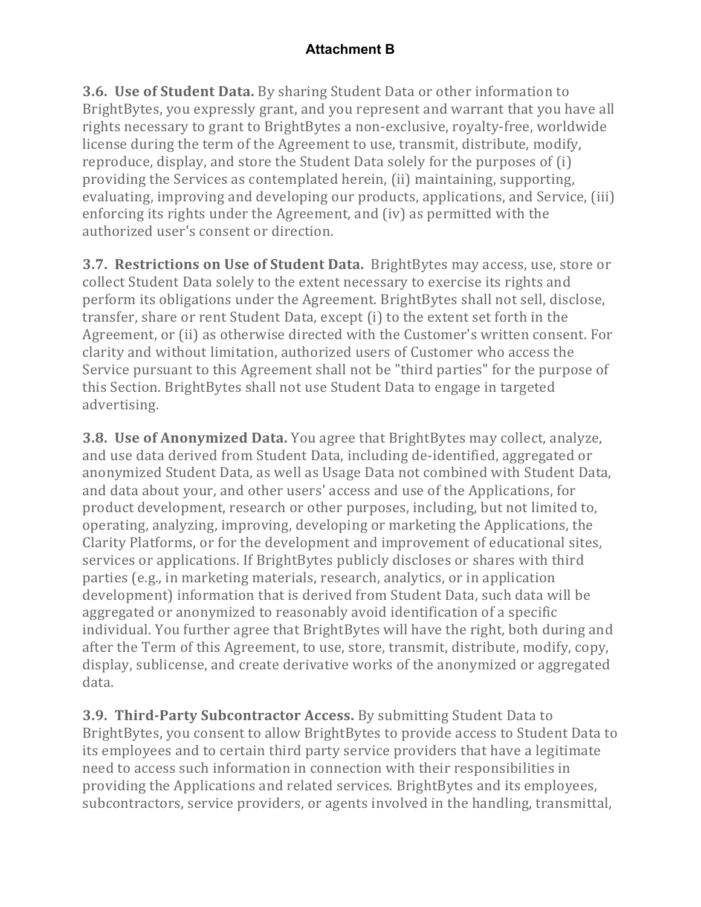**3.6. Use of Student Data.** By sharing Student Data or other information to BrightBytes, you expressly grant, and you represent and warrant that you have all rights necessary to grant to BrightBytes a non-exclusive, royalty-free, worldwide license during the term of the Agreement to use, transmit, distribute, modify, reproduce, display, and store the Student Data solely for the purposes of (i) providing the Services as contemplated herein, (ii) maintaining, supporting, evaluating, improving and developing our products, applications, and Service, (iii) enforcing its rights under the Agreement, and  $(iv)$  as permitted with the authorized user's consent or direction.

**3.7. Restrictions on Use of Student Data.** BrightBytes may access, use, store or collect Student Data solely to the extent necessary to exercise its rights and perform its obligations under the Agreement. BrightBytes shall not sell, disclose, transfer, share or rent Student Data, except (i) to the extent set forth in the Agreement, or (ii) as otherwise directed with the Customer's written consent. For clarity and without limitation, authorized users of Customer who access the Service pursuant to this Agreement shall not be "third parties" for the purpose of this Section. BrightBytes shall not use Student Data to engage in targeted advertising.

**3.8. Use of Anonymized Data.** You agree that BrightBytes may collect, analyze, and use data derived from Student Data, including de-identified, aggregated or anonymized Student Data, as well as Usage Data not combined with Student Data, and data about your, and other users' access and use of the Applications, for product development, research or other purposes, including, but not limited to, operating, analyzing, improving, developing or marketing the Applications, the Clarity Platforms, or for the development and improvement of educational sites, services or applications. If BrightBytes publicly discloses or shares with third parties (e.g., in marketing materials, research, analytics, or in application development) information that is derived from Student Data, such data will be aggregated or anonymized to reasonably avoid identification of a specific individual. You further agree that BrightBytes will have the right, both during and after the Term of this Agreement, to use, store, transmit, distribute, modify, copy, display, sublicense, and create derivative works of the anonymized or aggregated data.

**3.9. Third-Party Subcontractor Access.** By submitting Student Data to BrightBytes, you consent to allow BrightBytes to provide access to Student Data to its employees and to certain third party service providers that have a legitimate need to access such information in connection with their responsibilities in providing the Applications and related services. BrightBytes and its employees, subcontractors, service providers, or agents involved in the handling, transmittal,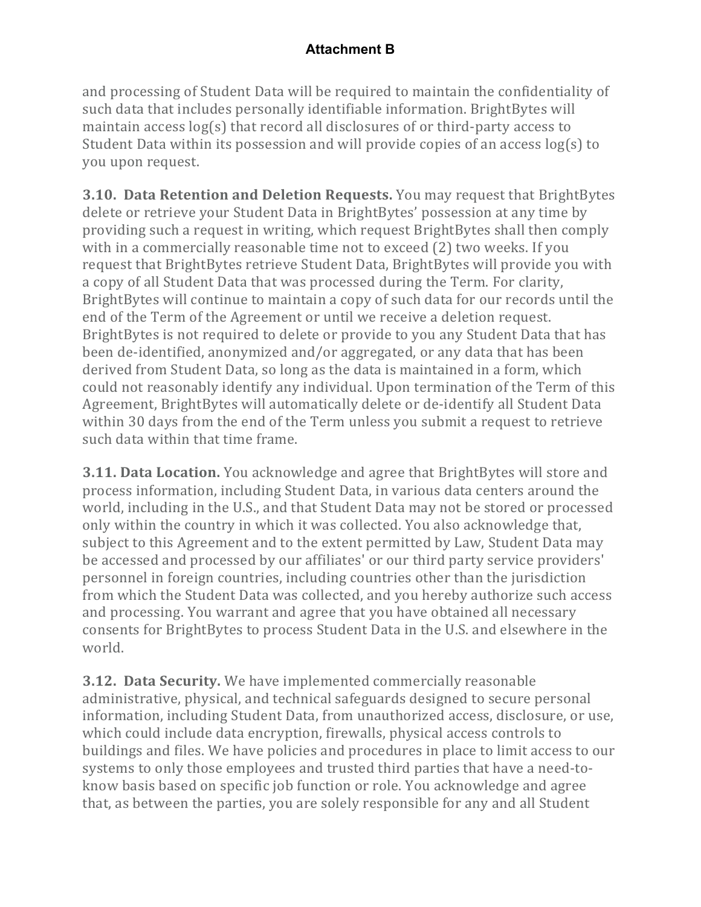and processing of Student Data will be required to maintain the confidentiality of such data that includes personally identifiable information. BrightBytes will maintain access  $log(s)$  that record all disclosures of or third-party access to Student Data within its possession and will provide copies of an access  $log(s)$  to you upon request.

**3.10. Data Retention and Deletion Requests.** You may request that BrightBytes delete or retrieve your Student Data in BrightBytes' possession at any time by providing such a request in writing, which request BrightBytes shall then comply with in a commercially reasonable time not to exceed (2) two weeks. If you request that BrightBytes retrieve Student Data, BrightBytes will provide you with a copy of all Student Data that was processed during the Term. For clarity, BrightBytes will continue to maintain a copy of such data for our records until the end of the Term of the Agreement or until we receive a deletion request. BrightBytes is not required to delete or provide to you any Student Data that has been de-identified, anonymized and/or aggregated, or any data that has been derived from Student Data, so long as the data is maintained in a form, which could not reasonably identify any individual. Upon termination of the Term of this Agreement, BrightBytes will automatically delete or de-identify all Student Data within 30 days from the end of the Term unless you submit a request to retrieve such data within that time frame.

**3.11. Data Location.** You acknowledge and agree that BrightBytes will store and process information, including Student Data, in various data centers around the world, including in the U.S., and that Student Data may not be stored or processed only within the country in which it was collected. You also acknowledge that, subject to this Agreement and to the extent permitted by Law, Student Data may be accessed and processed by our affiliates' or our third party service providers' personnel in foreign countries, including countries other than the jurisdiction from which the Student Data was collected, and you hereby authorize such access and processing. You warrant and agree that you have obtained all necessary consents for BrightBytes to process Student Data in the U.S. and elsewhere in the world.

**3.12. Data Security.** We have implemented commercially reasonable administrative, physical, and technical safeguards designed to secure personal information, including Student Data, from unauthorized access, disclosure, or use, which could include data encryption, firewalls, physical access controls to buildings and files. We have policies and procedures in place to limit access to our systems to only those employees and trusted third parties that have a need-toknow basis based on specific job function or role. You acknowledge and agree that, as between the parties, you are solely responsible for any and all Student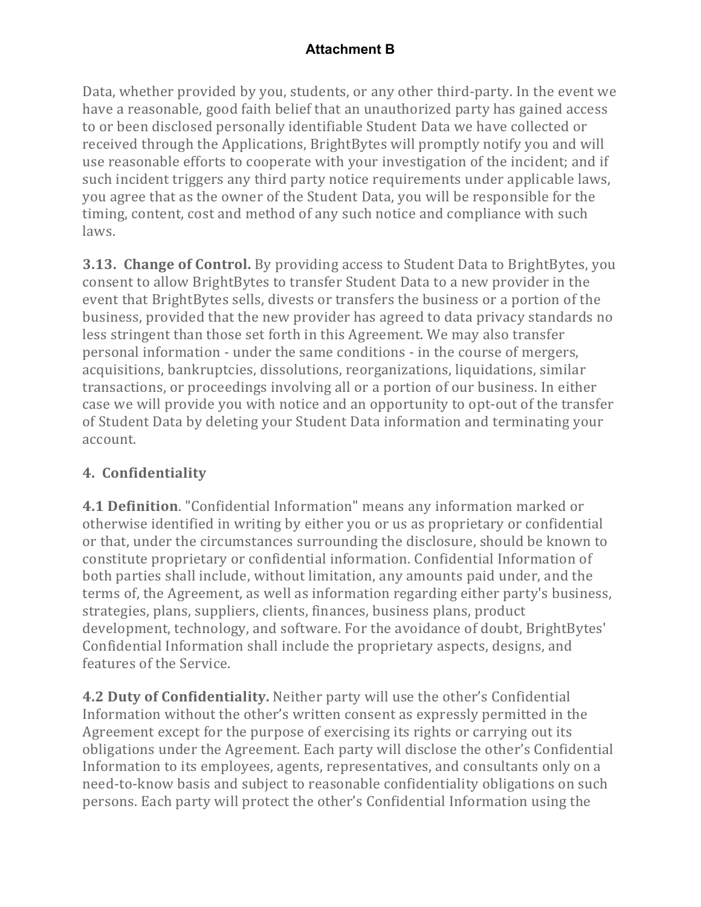Data, whether provided by you, students, or any other third-party. In the event we have a reasonable, good faith belief that an unauthorized party has gained access to or been disclosed personally identifiable Student Data we have collected or received through the Applications, BrightBytes will promptly notify you and will use reasonable efforts to cooperate with your investigation of the incident; and if such incident triggers any third party notice requirements under applicable laws, you agree that as the owner of the Student Data, you will be responsible for the timing, content, cost and method of any such notice and compliance with such laws.

**3.13. Change of Control.** By providing access to Student Data to BrightBytes, you consent to allow BrightBytes to transfer Student Data to a new provider in the event that BrightBytes sells, divests or transfers the business or a portion of the business, provided that the new provider has agreed to data privacy standards no less stringent than those set forth in this Agreement. We may also transfer personal information - under the same conditions - in the course of mergers, acquisitions, bankruptcies, dissolutions, reorganizations, liquidations, similar transactions, or proceedings involving all or a portion of our business. In either case we will provide you with notice and an opportunity to opt-out of the transfer of Student Data by deleting your Student Data information and terminating your account.

# **4. Confidentiality**

**4.1 Definition**. "Confidential Information" means any information marked or otherwise identified in writing by either you or us as proprietary or confidential or that, under the circumstances surrounding the disclosure, should be known to constitute proprietary or confidential information. Confidential Information of both parties shall include, without limitation, any amounts paid under, and the terms of, the Agreement, as well as information regarding either party's business, strategies, plans, suppliers, clients, finances, business plans, product development, technology, and software. For the avoidance of doubt, BrightBytes' Confidential Information shall include the proprietary aspects, designs, and features of the Service.

**4.2 Duty of Confidentiality.** Neither party will use the other's Confidential Information without the other's written consent as expressly permitted in the Agreement except for the purpose of exercising its rights or carrying out its obligations under the Agreement. Each party will disclose the other's Confidential Information to its employees, agents, representatives, and consultants only on a need-to-know basis and subject to reasonable confidentiality obligations on such persons. Each party will protect the other's Confidential Information using the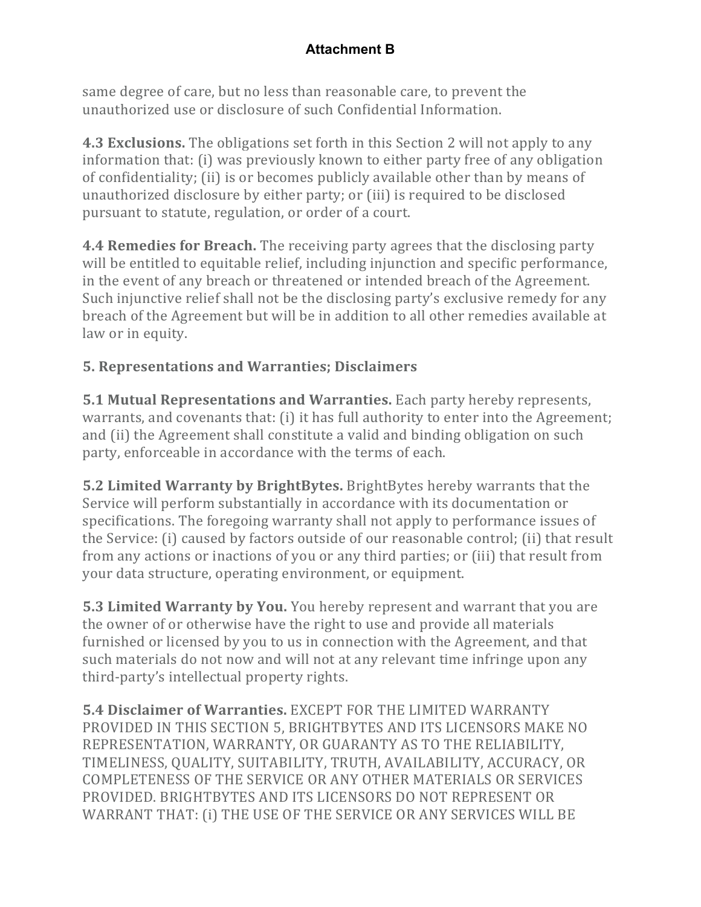same degree of care, but no less than reasonable care, to prevent the unauthorized use or disclosure of such Confidential Information.

**4.3 Exclusions.** The obligations set forth in this Section 2 will not apply to any information that: (i) was previously known to either party free of any obligation of confidentiality; (ii) is or becomes publicly available other than by means of unauthorized disclosure by either party; or (iii) is required to be disclosed pursuant to statute, regulation, or order of a court.

**4.4 Remedies for Breach.** The receiving party agrees that the disclosing party will be entitled to equitable relief, including injunction and specific performance, in the event of any breach or threatened or intended breach of the Agreement. Such injunctive relief shall not be the disclosing party's exclusive remedy for any breach of the Agreement but will be in addition to all other remedies available at law or in equity.

# **5. Representations and Warranties; Disclaimers**

**5.1 Mutual Representations and Warranties.** Each party hereby represents, warrants, and covenants that: (i) it has full authority to enter into the Agreement; and (ii) the Agreement shall constitute a valid and binding obligation on such party, enforceable in accordance with the terms of each.

**5.2 Limited Warranty by BrightBytes.** BrightBytes hereby warrants that the Service will perform substantially in accordance with its documentation or specifications. The foregoing warranty shall not apply to performance issues of the Service: (i) caused by factors outside of our reasonable control; (ii) that result from any actions or inactions of you or any third parties; or (iii) that result from your data structure, operating environment, or equipment.

**5.3 Limited Warranty by You.** You hereby represent and warrant that you are the owner of or otherwise have the right to use and provide all materials furnished or licensed by you to us in connection with the Agreement, and that such materials do not now and will not at any relevant time infringe upon any third-party's intellectual property rights.

**5.4 Disclaimer of Warranties.** EXCEPT FOR THE LIMITED WARRANTY PROVIDED IN THIS SECTION 5, BRIGHTBYTES AND ITS LICENSORS MAKE NO REPRESENTATION, WARRANTY, OR GUARANTY AS TO THE RELIABILITY, TIMELINESS, QUALITY, SUITABILITY, TRUTH, AVAILABILITY, ACCURACY, OR COMPLETENESS OF THE SERVICE OR ANY OTHER MATERIALS OR SERVICES PROVIDED. BRIGHTBYTES AND ITS LICENSORS DO NOT REPRESENT OR WARRANT THAT: (i) THE USE OF THE SERVICE OR ANY SERVICES WILL BE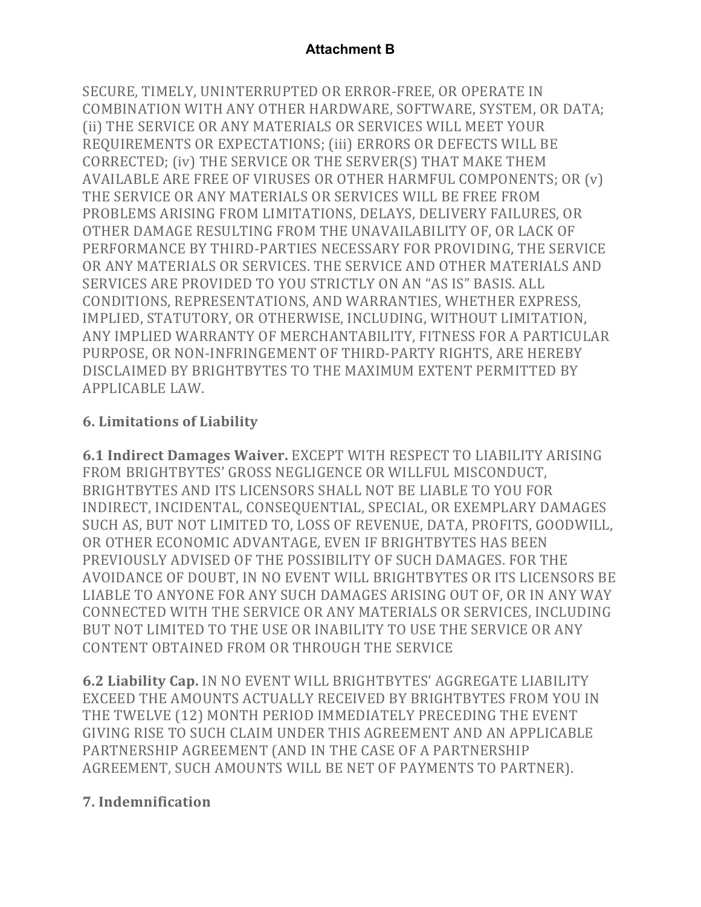SECURE, TIMELY, UNINTERRUPTED OR ERROR-FREE, OR OPERATE IN COMBINATION WITH ANY OTHER HARDWARE, SOFTWARE, SYSTEM, OR DATA; (ii) THE SERVICE OR ANY MATERIALS OR SERVICES WILL MEET YOUR REQUIREMENTS OR EXPECTATIONS; (iii) ERRORS OR DEFECTS WILL BE CORRECTED; (iv) THE SERVICE OR THE SERVER(S) THAT MAKE THEM AVAILABLE ARE FREE OF VIRUSES OR OTHER HARMFUL COMPONENTS; OR  $(v)$ THE SERVICE OR ANY MATERIALS OR SERVICES WILL BE FREE FROM PROBLEMS ARISING FROM LIMITATIONS, DELAYS, DELIVERY FAILURES, OR OTHER DAMAGE RESULTING FROM THE UNAVAILABILITY OF, OR LACK OF PERFORMANCE BY THIRD-PARTIES NECESSARY FOR PROVIDING, THE SERVICE OR ANY MATERIALS OR SERVICES. THE SERVICE AND OTHER MATERIALS AND SERVICES ARE PROVIDED TO YOU STRICTLY ON AN "AS IS" BASIS. ALL CONDITIONS, REPRESENTATIONS, AND WARRANTIES, WHETHER EXPRESS, IMPLIED, STATUTORY, OR OTHERWISE, INCLUDING, WITHOUT LIMITATION, ANY IMPLIED WARRANTY OF MERCHANTABILITY, FITNESS FOR A PARTICULAR PURPOSE, OR NON-INFRINGEMENT OF THIRD-PARTY RIGHTS, ARE HEREBY DISCLAIMED BY BRIGHTBYTES TO THE MAXIMUM EXTENT PERMITTED BY APPLICABLE LAW.

# **6. Limitations of Liability**

**6.1 Indirect Damages Waiver. EXCEPT WITH RESPECT TO LIABILITY ARISING** FROM BRIGHTBYTES' GROSS NEGLIGENCE OR WILLFUL MISCONDUCT, BRIGHTBYTES AND ITS LICENSORS SHALL NOT BE LIABLE TO YOU FOR INDIRECT, INCIDENTAL, CONSEQUENTIAL, SPECIAL, OR EXEMPLARY DAMAGES SUCH AS, BUT NOT LIMITED TO, LOSS OF REVENUE, DATA, PROFITS, GOODWILL, OR OTHER ECONOMIC ADVANTAGE, EVEN IF BRIGHTBYTES HAS BEEN PREVIOUSLY ADVISED OF THE POSSIBILITY OF SUCH DAMAGES. FOR THE AVOIDANCE OF DOUBT, IN NO EVENT WILL BRIGHTBYTES OR ITS LICENSORS BE LIABLE TO ANYONE FOR ANY SUCH DAMAGES ARISING OUT OF, OR IN ANY WAY CONNECTED WITH THE SERVICE OR ANY MATERIALS OR SERVICES, INCLUDING BUT NOT LIMITED TO THE USE OR INABILITY TO USE THE SERVICE OR ANY CONTENT OBTAINED FROM OR THROUGH THE SERVICE

**6.2 Liability Cap.** IN NO EVENT WILL BRIGHTBYTES' AGGREGATE LIABILITY EXCEED THE AMOUNTS ACTUALLY RECEIVED BY BRIGHTBYTES FROM YOU IN THE TWELVE (12) MONTH PERIOD IMMEDIATELY PRECEDING THE EVENT GIVING RISE TO SUCH CLAIM UNDER THIS AGREEMENT AND AN APPLICABLE PARTNERSHIP AGREEMENT (AND IN THE CASE OF A PARTNERSHIP AGREEMENT, SUCH AMOUNTS WILL BE NET OF PAYMENTS TO PARTNER).

# **7. Indemnification**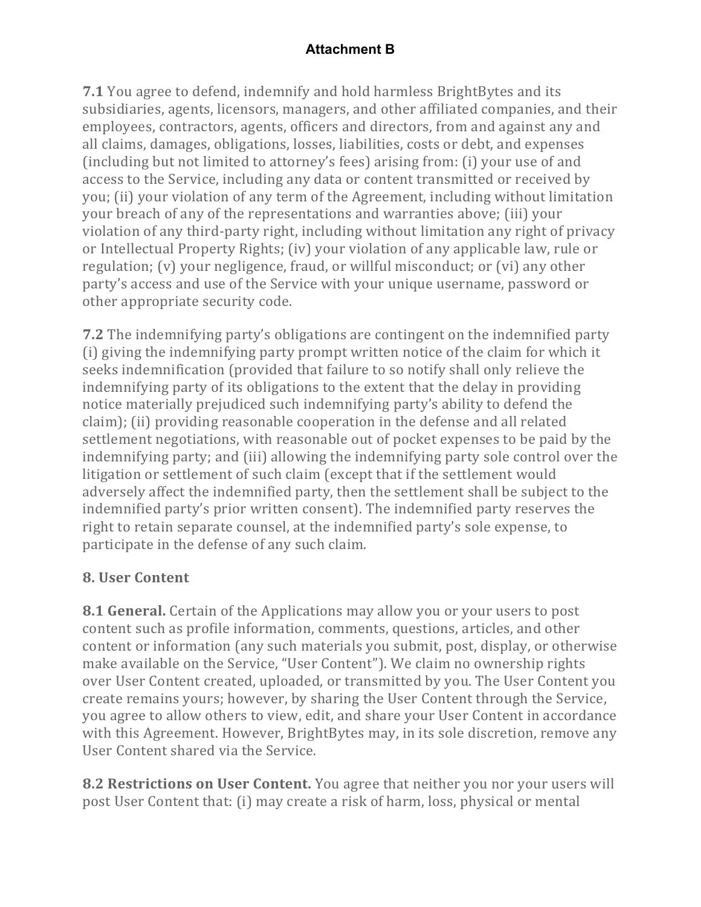**7.1** You agree to defend, indemnify and hold harmless BrightBytes and its subsidiaries, agents, licensors, managers, and other affiliated companies, and their employees, contractors, agents, officers and directors, from and against any and all claims, damages, obligations, losses, liabilities, costs or debt, and expenses (including but not limited to attorney's fees) arising from: (i) your use of and access to the Service, including any data or content transmitted or received by you; (ii) your violation of any term of the Agreement, including without limitation your breach of any of the representations and warranties above; (iii) your violation of any third-party right, including without limitation any right of privacy or Intellectual Property Rights; (iv) your violation of any applicable law, rule or regulation;  $(v)$  your negligence, fraud, or willful misconduct; or  $(vi)$  any other party's access and use of the Service with your unique username, password or other appropriate security code.

**7.2** The indemnifying party's obligations are contingent on the indemnified party (i) giving the indemnifying party prompt written notice of the claim for which it seeks indemnification (provided that failure to so notify shall only relieve the indemnifying party of its obligations to the extent that the delay in providing notice materially prejudiced such indemnifying party's ability to defend the claim); (ii) providing reasonable cooperation in the defense and all related settlement negotiations, with reasonable out of pocket expenses to be paid by the indemnifying party; and (iii) allowing the indemnifying party sole control over the litigation or settlement of such claim (except that if the settlement would adversely affect the indemnified party, then the settlement shall be subject to the indemnified party's prior written consent). The indemnified party reserves the right to retain separate counsel, at the indemnified party's sole expense, to participate in the defense of any such claim.

# **8. User Content**

**8.1 General.** Certain of the Applications may allow you or your users to post content such as profile information, comments, questions, articles, and other content or information (any such materials you submit, post, display, or otherwise make available on the Service, "User Content"). We claim no ownership rights over User Content created, uploaded, or transmitted by you. The User Content you create remains yours; however, by sharing the User Content through the Service, you agree to allow others to view, edit, and share your User Content in accordance with this Agreement. However, BrightBytes may, in its sole discretion, remove any User Content shared via the Service.

**8.2 Restrictions on User Content.** You agree that neither you nor your users will post User Content that: (i) may create a risk of harm, loss, physical or mental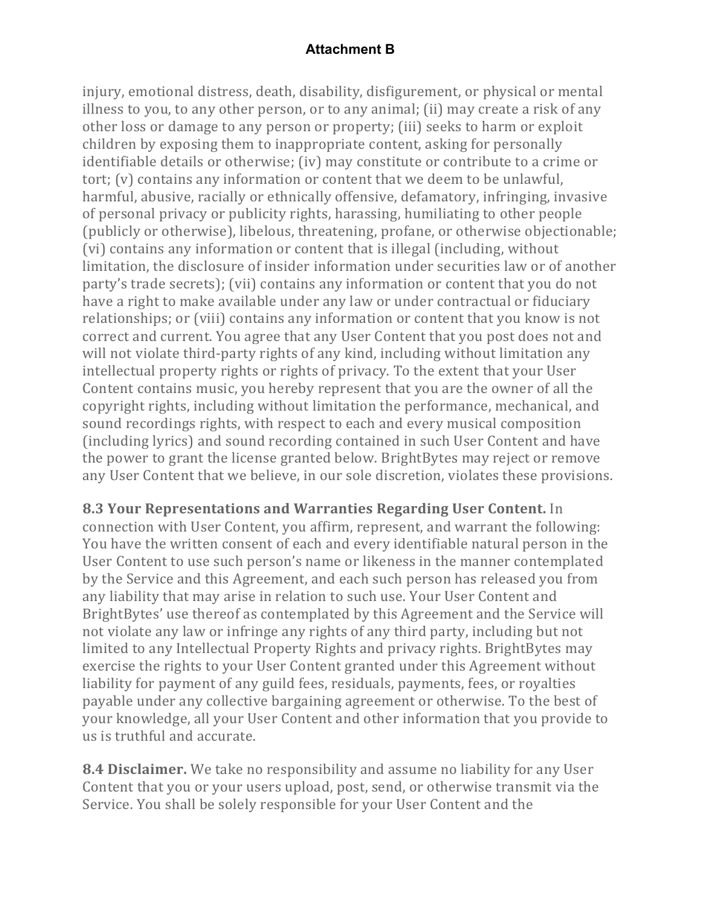injury, emotional distress, death, disability, disfigurement, or physical or mental illness to you, to any other person, or to any animal; (ii) may create a risk of any other loss or damage to any person or property; (iii) seeks to harm or exploit children by exposing them to inappropriate content, asking for personally identifiable details or otherwise; (iv) may constitute or contribute to a crime or tort; (v) contains any information or content that we deem to be unlawful, harmful, abusive, racially or ethnically offensive, defamatory, infringing, invasive of personal privacy or publicity rights, harassing, humiliating to other people (publicly or otherwise), libelous, threatening, profane, or otherwise objectionable; (vi) contains any information or content that is illegal (including, without limitation, the disclosure of insider information under securities law or of another party's trade secrets); (vii) contains any information or content that you do not have a right to make available under any law or under contractual or fiduciary relationships; or (viii) contains any information or content that you know is not correct and current. You agree that any User Content that you post does not and will not violate third-party rights of any kind, including without limitation any intellectual property rights or rights of privacy. To the extent that your User Content contains music, you hereby represent that you are the owner of all the copyright rights, including without limitation the performance, mechanical, and sound recordings rights, with respect to each and every musical composition (including lyrics) and sound recording contained in such User Content and have the power to grant the license granted below. BrightBytes may reject or remove any User Content that we believe, in our sole discretion, violates these provisions.

**8.3 Your Representations and Warranties Regarding User Content.** In connection with User Content, you affirm, represent, and warrant the following: You have the written consent of each and every identifiable natural person in the User Content to use such person's name or likeness in the manner contemplated by the Service and this Agreement, and each such person has released you from any liability that may arise in relation to such use. Your User Content and BrightBytes' use thereof as contemplated by this Agreement and the Service will not violate any law or infringe any rights of any third party, including but not limited to any Intellectual Property Rights and privacy rights. BrightBytes may exercise the rights to your User Content granted under this Agreement without liability for payment of any guild fees, residuals, payments, fees, or royalties payable under any collective bargaining agreement or otherwise. To the best of your knowledge, all your User Content and other information that you provide to us is truthful and accurate.

**8.4 Disclaimer.** We take no responsibility and assume no liability for any User Content that you or your users upload, post, send, or otherwise transmit via the Service. You shall be solely responsible for your User Content and the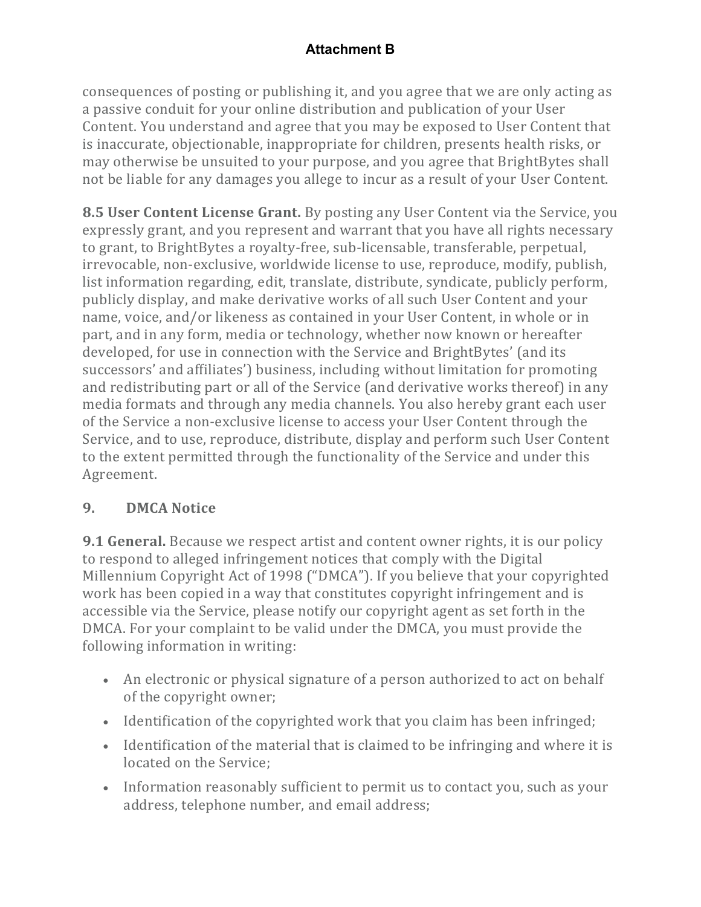consequences of posting or publishing it, and you agree that we are only acting as a passive conduit for your online distribution and publication of your User Content. You understand and agree that you may be exposed to User Content that is inaccurate, objectionable, inappropriate for children, presents health risks, or may otherwise be unsuited to your purpose, and you agree that BrightBytes shall not be liable for any damages you allege to incur as a result of your User Content.

**8.5 User Content License Grant.** By posting any User Content via the Service, you expressly grant, and you represent and warrant that you have all rights necessary to grant, to BrightBytes a royalty-free, sub-licensable, transferable, perpetual, irrevocable, non-exclusive, worldwide license to use, reproduce, modify, publish, list information regarding, edit, translate, distribute, syndicate, publicly perform, publicly display, and make derivative works of all such User Content and your name, voice, and/or likeness as contained in your User Content, in whole or in part, and in any form, media or technology, whether now known or hereafter developed, for use in connection with the Service and BrightBytes' (and its successors' and affiliates') business, including without limitation for promoting and redistributing part or all of the Service (and derivative works thereof) in any media formats and through any media channels. You also hereby grant each user of the Service a non-exclusive license to access your User Content through the Service, and to use, reproduce, distribute, display and perform such User Content to the extent permitted through the functionality of the Service and under this Agreement.

# **9. DMCA Notice**

**9.1 General.** Because we respect artist and content owner rights, it is our policy to respond to alleged infringement notices that comply with the Digital Millennium Copyright Act of 1998 ("DMCA"). If you believe that your copyrighted work has been copied in a way that constitutes copyright infringement and is accessible via the Service, please notify our copyright agent as set forth in the DMCA. For your complaint to be valid under the DMCA, you must provide the following information in writing:

- An electronic or physical signature of a person authorized to act on behalf of the copyright owner;
- Identification of the copyrighted work that you claim has been infringed;
- Identification of the material that is claimed to be infringing and where it is located on the Service:
- Information reasonably sufficient to permit us to contact you, such as your address, telephone number, and email address;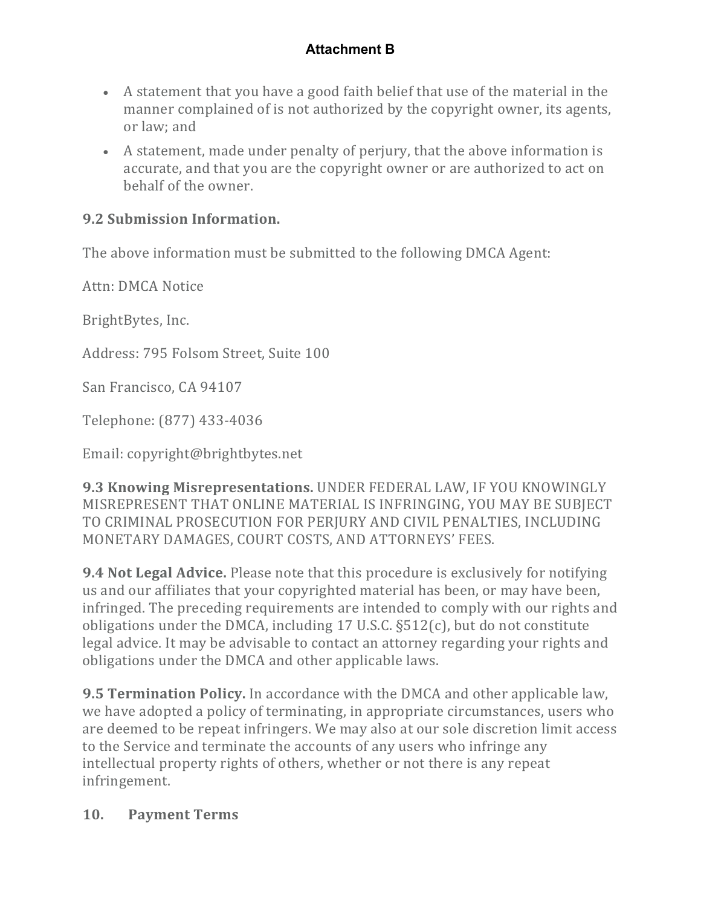- A statement that you have a good faith belief that use of the material in the manner complained of is not authorized by the copyright owner, its agents, or law; and
- A statement, made under penalty of perjury, that the above information is accurate, and that you are the copyright owner or are authorized to act on behalf of the owner.

# **9.2 Submission Information.**

The above information must be submitted to the following DMCA Agent:

Attn: DMCA Notice

BrightBytes, Inc.

Address: 795 Folsom Street, Suite 100

San Francisco, CA 94107

Telephone: (877) 433-4036

Email: copyright@brightbytes.net

**9.3 Knowing Misrepresentations. UNDER FEDERAL LAW, IF YOU KNOWINGLY** MISREPRESENT THAT ONLINE MATERIAL IS INFRINGING, YOU MAY BE SUBJECT TO CRIMINAL PROSECUTION FOR PERJURY AND CIVIL PENALTIES, INCLUDING MONETARY DAMAGES, COURT COSTS, AND ATTORNEYS' FEES.

**9.4 Not Legal Advice.** Please note that this procedure is exclusively for notifying us and our affiliates that your copyrighted material has been, or may have been, infringed. The preceding requirements are intended to comply with our rights and obligations under the DMCA, including 17 U.S.C.  $\S512(c)$ , but do not constitute legal advice. It may be advisable to contact an attorney regarding your rights and obligations under the DMCA and other applicable laws.

**9.5 Termination Policy.** In accordance with the DMCA and other applicable law, we have adopted a policy of terminating, in appropriate circumstances, users who are deemed to be repeat infringers. We may also at our sole discretion limit access to the Service and terminate the accounts of any users who infringe any intellectual property rights of others, whether or not there is any repeat infringement.

#### **10. Payment Terms**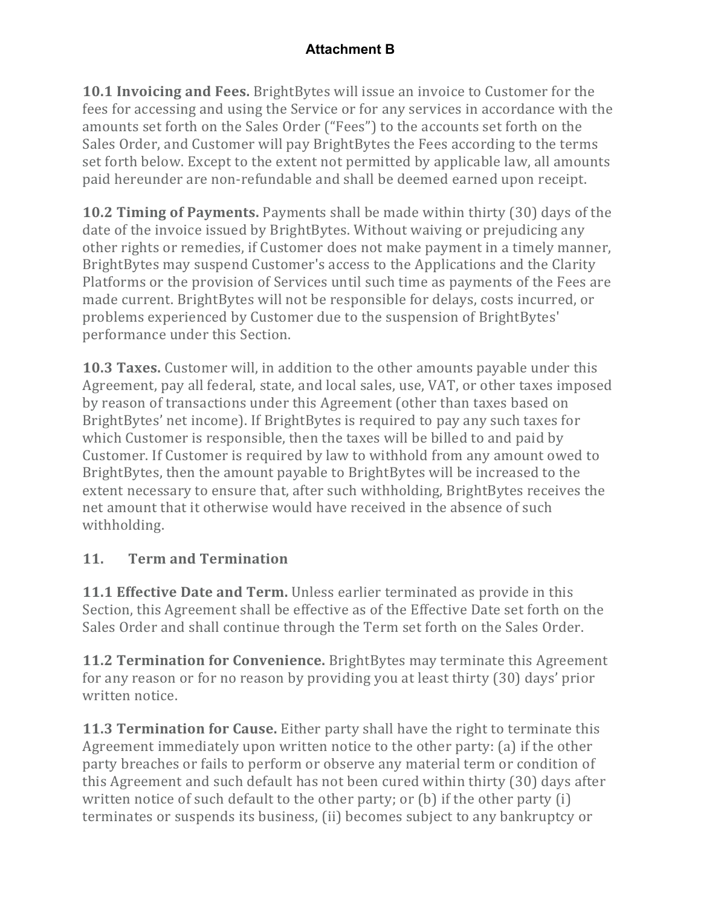**10.1 Invoicing and Fees.** BrightBytes will issue an invoice to Customer for the fees for accessing and using the Service or for any services in accordance with the amounts set forth on the Sales Order ("Fees") to the accounts set forth on the Sales Order, and Customer will pay BrightBytes the Fees according to the terms set forth below. Except to the extent not permitted by applicable law, all amounts paid hereunder are non-refundable and shall be deemed earned upon receipt.

**10.2 Timing of Payments.** Payments shall be made within thirty (30) days of the date of the invoice issued by BrightBytes. Without waiving or prejudicing any other rights or remedies, if Customer does not make payment in a timely manner, BrightBytes may suspend Customer's access to the Applications and the Clarity Platforms or the provision of Services until such time as payments of the Fees are made current. BrightBytes will not be responsible for delays, costs incurred, or problems experienced by Customer due to the suspension of BrightBytes' performance under this Section.

**10.3 Taxes.** Customer will, in addition to the other amounts payable under this Agreement, pay all federal, state, and local sales, use, VAT, or other taxes imposed by reason of transactions under this Agreement (other than taxes based on BrightBytes' net income). If BrightBytes is required to pay any such taxes for which Customer is responsible, then the taxes will be billed to and paid by Customer. If Customer is required by law to withhold from any amount owed to BrightBytes, then the amount payable to BrightBytes will be increased to the extent necessary to ensure that, after such withholding, BrightBytes receives the net amount that it otherwise would have received in the absence of such withholding.

# **11. Term and Termination**

**11.1 Effective Date and Term.** Unless earlier terminated as provide in this Section, this Agreement shall be effective as of the Effective Date set forth on the Sales Order and shall continue through the Term set forth on the Sales Order.

**11.2 Termination for Convenience.** BrightBytes may terminate this Agreement for any reason or for no reason by providing you at least thirty (30) days' prior written notice.

**11.3 Termination for Cause.** Either party shall have the right to terminate this Agreement immediately upon written notice to the other party:  $(a)$  if the other party breaches or fails to perform or observe any material term or condition of this Agreement and such default has not been cured within thirty (30) days after written notice of such default to the other party; or  $(b)$  if the other party  $(i)$ terminates or suspends its business, (ii) becomes subject to any bankruptcy or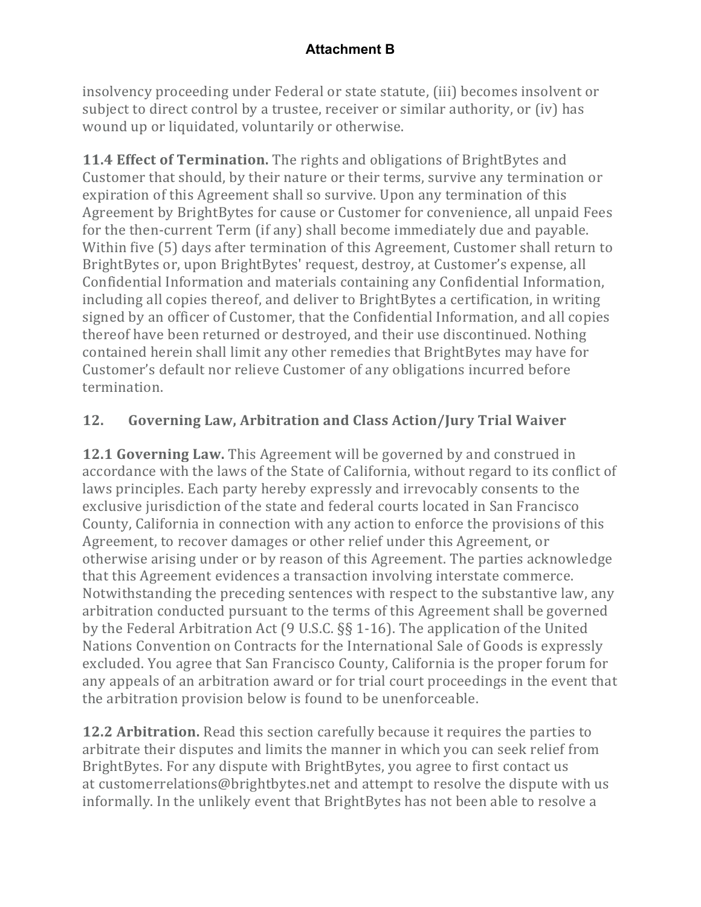insolvency proceeding under Federal or state statute, (iii) becomes insolvent or subject to direct control by a trustee, receiver or similar authority, or (iv) has wound up or liquidated, voluntarily or otherwise.

**11.4 Effect of Termination.** The rights and obligations of BrightBytes and Customer that should, by their nature or their terms, survive any termination or expiration of this Agreement shall so survive. Upon any termination of this Agreement by BrightBytes for cause or Customer for convenience, all unpaid Fees for the then-current Term (if any) shall become immediately due and payable. Within five (5) days after termination of this Agreement, Customer shall return to BrightBytes or, upon BrightBytes' request, destroy, at Customer's expense, all Confidential Information and materials containing any Confidential Information, including all copies thereof, and deliver to BrightBytes a certification, in writing signed by an officer of Customer, that the Confidential Information, and all copies thereof have been returned or destroyed, and their use discontinued. Nothing contained herein shall limit any other remedies that BrightBytes may have for Customer's default nor relieve Customer of any obligations incurred before termination.

# **12. Governing Law, Arbitration and Class Action/Jury Trial Waiver**

**12.1 Governing Law.** This Agreement will be governed by and construed in accordance with the laws of the State of California, without regard to its conflict of laws principles. Each party hereby expressly and irrevocably consents to the exclusive jurisdiction of the state and federal courts located in San Francisco County, California in connection with any action to enforce the provisions of this Agreement, to recover damages or other relief under this Agreement, or otherwise arising under or by reason of this Agreement. The parties acknowledge that this Agreement evidences a transaction involving interstate commerce. Notwithstanding the preceding sentences with respect to the substantive law, any arbitration conducted pursuant to the terms of this Agreement shall be governed by the Federal Arbitration Act  $(9 \text{ U.S.C.} \S \S 1-16)$ . The application of the United Nations Convention on Contracts for the International Sale of Goods is expressly excluded. You agree that San Francisco County, California is the proper forum for any appeals of an arbitration award or for trial court proceedings in the event that the arbitration provision below is found to be unenforceable.

**12.2 Arbitration.** Read this section carefully because it requires the parties to arbitrate their disputes and limits the manner in which you can seek relief from BrightBytes. For any dispute with BrightBytes, you agree to first contact us at customerrelations@brightbytes.net and attempt to resolve the dispute with us informally. In the unlikely event that BrightBytes has not been able to resolve a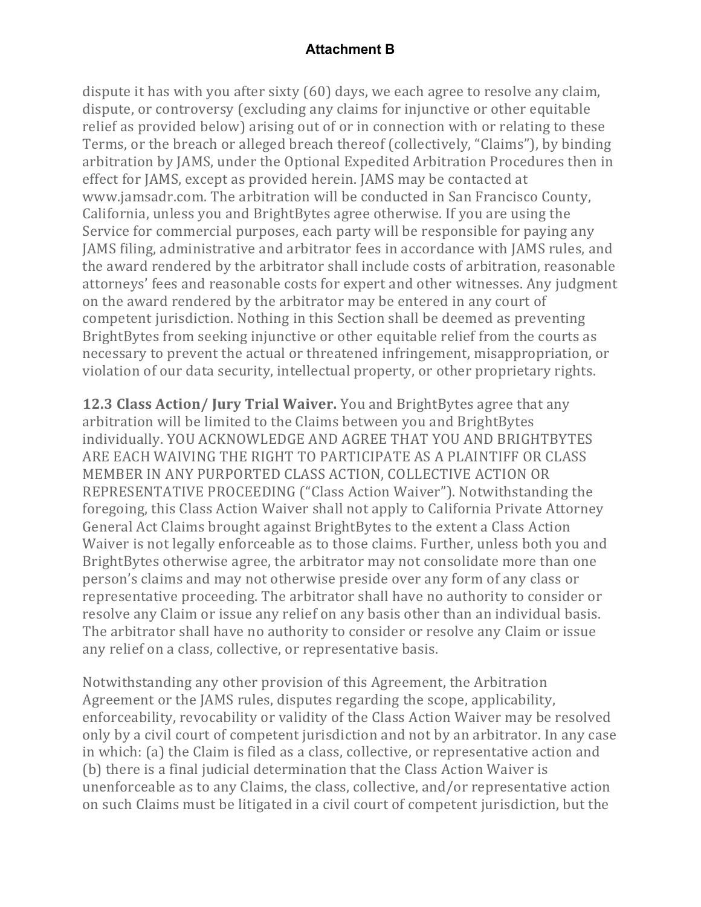dispute it has with you after sixty  $(60)$  days, we each agree to resolve any claim, dispute, or controversy (excluding any claims for injunctive or other equitable relief as provided below) arising out of or in connection with or relating to these Terms, or the breach or alleged breach thereof (collectively, "Claims"), by binding arbitration by JAMS, under the Optional Expedited Arbitration Procedures then in effect for JAMS, except as provided herein. JAMS may be contacted at www.jamsadr.com. The arbitration will be conducted in San Francisco County, California, unless you and BrightBytes agree otherwise. If you are using the Service for commercial purposes, each party will be responsible for paying any JAMS filing, administrative and arbitrator fees in accordance with JAMS rules, and the award rendered by the arbitrator shall include costs of arbitration, reasonable attorneys' fees and reasonable costs for expert and other witnesses. Any judgment on the award rendered by the arbitrator may be entered in any court of competent jurisdiction. Nothing in this Section shall be deemed as preventing BrightBytes from seeking injunctive or other equitable relief from the courts as necessary to prevent the actual or threatened infringement, misappropriation, or violation of our data security, intellectual property, or other proprietary rights.

**12.3 Class Action/ Jury Trial Waiver.** You and BrightBytes agree that any arbitration will be limited to the Claims between you and BrightBytes individually. YOU ACKNOWLEDGE AND AGREE THAT YOU AND BRIGHTBYTES ARE EACH WAIVING THE RIGHT TO PARTICIPATE AS A PLAINTIFF OR CLASS MEMBER IN ANY PURPORTED CLASS ACTION, COLLECTIVE ACTION OR REPRESENTATIVE PROCEEDING ("Class Action Waiver"). Notwithstanding the foregoing, this Class Action Waiver shall not apply to California Private Attorney General Act Claims brought against BrightBytes to the extent a Class Action Waiver is not legally enforceable as to those claims. Further, unless both you and BrightBytes otherwise agree, the arbitrator may not consolidate more than one person's claims and may not otherwise preside over any form of any class or representative proceeding. The arbitrator shall have no authority to consider or resolve any Claim or issue any relief on any basis other than an individual basis. The arbitrator shall have no authority to consider or resolve any Claim or issue any relief on a class, collective, or representative basis.

Notwithstanding any other provision of this Agreement, the Arbitration Agreement or the JAMS rules, disputes regarding the scope, applicability, enforceability, revocability or validity of the Class Action Waiver may be resolved only by a civil court of competent jurisdiction and not by an arbitrator. In any case in which: (a) the Claim is filed as a class, collective, or representative action and (b) there is a final judicial determination that the Class Action Waiver is unenforceable as to any Claims, the class, collective, and/or representative action on such Claims must be litigated in a civil court of competent jurisdiction, but the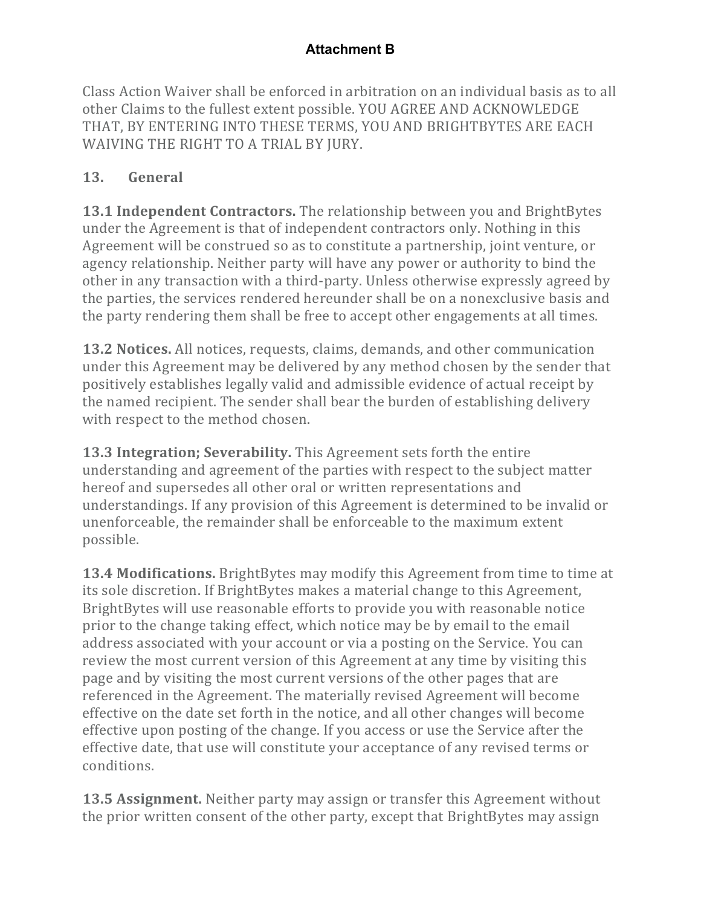Class Action Waiver shall be enforced in arbitration on an individual basis as to all other Claims to the fullest extent possible. YOU AGREE AND ACKNOWLEDGE THAT, BY ENTERING INTO THESE TERMS, YOU AND BRIGHTBYTES ARE EACH WAIVING THE RIGHT TO A TRIAL BY JURY.

# **13. General**

**13.1 Independent Contractors.** The relationship between you and BrightBytes under the Agreement is that of independent contractors only. Nothing in this Agreement will be construed so as to constitute a partnership, joint venture, or agency relationship. Neither party will have any power or authority to bind the other in any transaction with a third-party. Unless otherwise expressly agreed by the parties, the services rendered hereunder shall be on a nonexclusive basis and the party rendering them shall be free to accept other engagements at all times.

**13.2 Notices.** All notices, requests, claims, demands, and other communication under this Agreement may be delivered by any method chosen by the sender that positively establishes legally valid and admissible evidence of actual receipt by the named recipient. The sender shall bear the burden of establishing delivery with respect to the method chosen.

**13.3 Integration; Severability.** This Agreement sets forth the entire understanding and agreement of the parties with respect to the subject matter hereof and supersedes all other oral or written representations and understandings. If any provision of this Agreement is determined to be invalid or unenforceable, the remainder shall be enforceable to the maximum extent possible.

**13.4 Modifications.** BrightBytes may modify this Agreement from time to time at its sole discretion. If BrightBytes makes a material change to this Agreement, BrightBytes will use reasonable efforts to provide you with reasonable notice prior to the change taking effect, which notice may be by email to the email address associated with your account or via a posting on the Service. You can review the most current version of this Agreement at any time by visiting this page and by visiting the most current versions of the other pages that are referenced in the Agreement. The materially revised Agreement will become effective on the date set forth in the notice, and all other changes will become effective upon posting of the change. If you access or use the Service after the effective date, that use will constitute your acceptance of any revised terms or conditions.

**13.5 Assignment.** Neither party may assign or transfer this Agreement without the prior written consent of the other party, except that BrightBytes may assign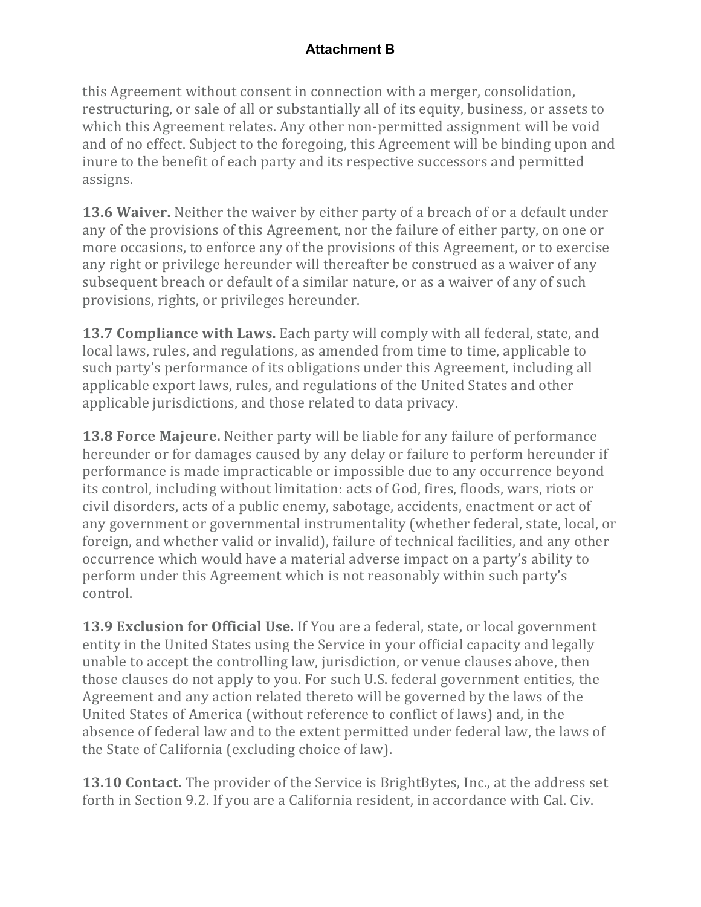this Agreement without consent in connection with a merger, consolidation, restructuring, or sale of all or substantially all of its equity, business, or assets to which this Agreement relates. Any other non-permitted assignment will be void and of no effect. Subject to the foregoing, this Agreement will be binding upon and inure to the benefit of each party and its respective successors and permitted assigns.

**13.6 Waiver.** Neither the waiver by either party of a breach of or a default under any of the provisions of this Agreement, nor the failure of either party, on one or more occasions, to enforce any of the provisions of this Agreement, or to exercise any right or privilege hereunder will thereafter be construed as a waiver of any subsequent breach or default of a similar nature, or as a waiver of any of such provisions, rights, or privileges hereunder.

**13.7 Compliance with Laws.** Each party will comply with all federal, state, and local laws, rules, and regulations, as amended from time to time, applicable to such party's performance of its obligations under this Agreement, including all applicable export laws, rules, and regulations of the United States and other applicable jurisdictions, and those related to data privacy.

**13.8 Force Majeure.** Neither party will be liable for any failure of performance hereunder or for damages caused by any delay or failure to perform hereunder if performance is made impracticable or impossible due to any occurrence beyond its control, including without limitation: acts of God, fires, floods, wars, riots or civil disorders, acts of a public enemy, sabotage, accidents, enactment or act of any government or governmental instrumentality (whether federal, state, local, or foreign, and whether valid or invalid), failure of technical facilities, and any other occurrence which would have a material adverse impact on a party's ability to perform under this Agreement which is not reasonably within such party's control.

**13.9 Exclusion for Official Use.** If You are a federal, state, or local government entity in the United States using the Service in your official capacity and legally unable to accept the controlling law, jurisdiction, or venue clauses above, then those clauses do not apply to you. For such U.S. federal government entities, the Agreement and any action related thereto will be governed by the laws of the United States of America (without reference to conflict of laws) and, in the absence of federal law and to the extent permitted under federal law, the laws of the State of California (excluding choice of law).

**13.10 Contact.** The provider of the Service is BrightBytes, Inc., at the address set forth in Section 9.2. If you are a California resident, in accordance with Cal. Civ.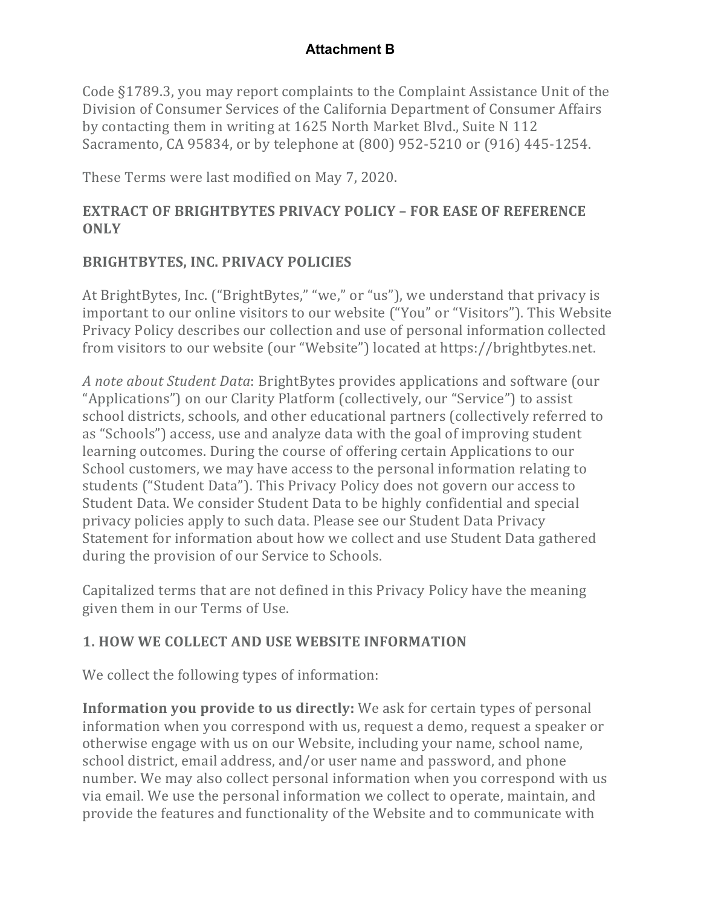Code §1789.3, you may report complaints to the Complaint Assistance Unit of the Division of Consumer Services of the California Department of Consumer Affairs by contacting them in writing at 1625 North Market Blvd., Suite N 112 Sacramento, CA 95834, or by telephone at (800) 952-5210 or (916) 445-1254.

These Terms were last modified on May 7, 2020.

# **EXTRACT OF BRIGHTBYTES PRIVACY POLICY – FOR EASE OF REFERENCE ONLY**

# **BRIGHTBYTES, INC. PRIVACY POLICIES**

At BrightBytes, Inc. ("BrightBytes," "we," or "us"), we understand that privacy is important to our online visitors to our website ("You" or "Visitors"). This Website Privacy Policy describes our collection and use of personal information collected from visitors to our website (our "Website") located at https://brightbytes.net.

*A* note about Student Data: BrightBytes provides applications and software (our "Applications") on our Clarity Platform (collectively, our "Service") to assist school districts, schools, and other educational partners (collectively referred to as "Schools") access, use and analyze data with the goal of improving student learning outcomes. During the course of offering certain Applications to our School customers, we may have access to the personal information relating to students ("Student Data"). This Privacy Policy does not govern our access to Student Data. We consider Student Data to be highly confidential and special privacy policies apply to such data. Please see our Student Data Privacy Statement for information about how we collect and use Student Data gathered during the provision of our Service to Schools.

Capitalized terms that are not defined in this Privacy Policy have the meaning given them in our Terms of Use.

# **1. HOW WE COLLECT AND USE WEBSITE INFORMATION**

We collect the following types of information:

**Information you provide to us directly:** We ask for certain types of personal information when you correspond with us, request a demo, request a speaker or otherwise engage with us on our Website, including your name, school name, school district, email address, and/or user name and password, and phone number. We may also collect personal information when you correspond with us via email. We use the personal information we collect to operate, maintain, and provide the features and functionality of the Website and to communicate with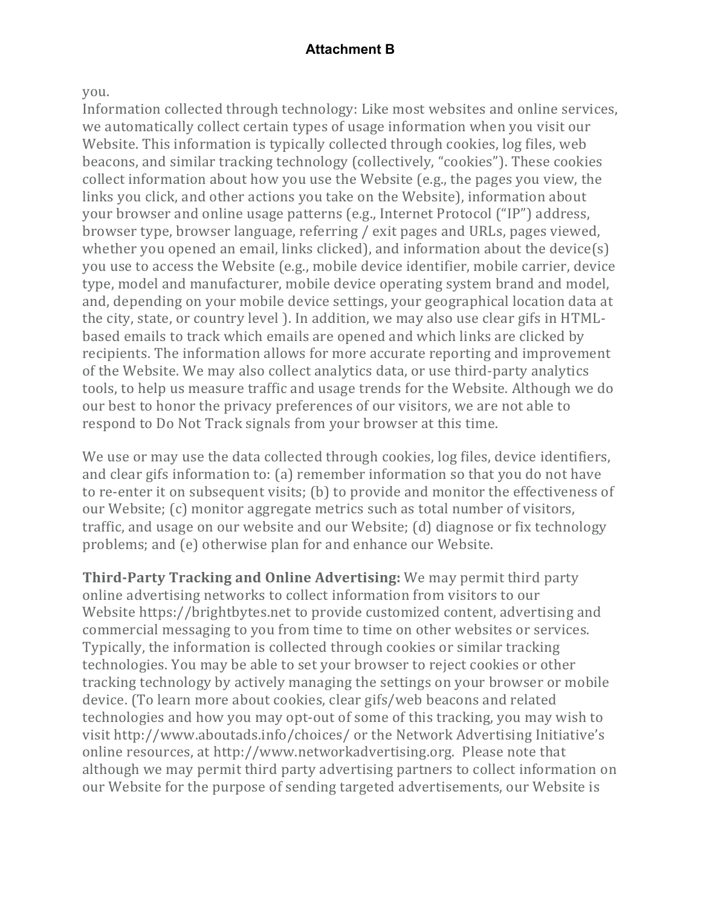#### you.

Information collected through technology: Like most websites and online services, we automatically collect certain types of usage information when you visit our Website. This information is typically collected through cookies, log files, web beacons, and similar tracking technology (collectively, "cookies"). These cookies collect information about how you use the Website (e.g., the pages you view, the links you click, and other actions you take on the Website), information about your browser and online usage patterns (e.g., Internet Protocol ("IP") address, browser type, browser language, referring / exit pages and URLs, pages viewed, whether you opened an email, links clicked), and information about the device(s) you use to access the Website (e.g., mobile device identifier, mobile carrier, device type, model and manufacturer, mobile device operating system brand and model, and, depending on your mobile device settings, your geographical location data at the city, state, or country level ). In addition, we may also use clear gifs in HTMLbased emails to track which emails are opened and which links are clicked by recipients. The information allows for more accurate reporting and improvement of the Website. We may also collect analytics data, or use third-party analytics tools, to help us measure traffic and usage trends for the Website. Although we do our best to honor the privacy preferences of our visitors, we are not able to respond to Do Not Track signals from your browser at this time.

We use or may use the data collected through cookies, log files, device identifiers, and clear gifs information to: (a) remember information so that you do not have to re-enter it on subsequent visits; (b) to provide and monitor the effectiveness of our Website; (c) monitor aggregate metrics such as total number of visitors, traffic, and usage on our website and our Website; (d) diagnose or fix technology problems; and (e) otherwise plan for and enhance our Website.

**Third-Party Tracking and Online Advertising:** We may permit third party online advertising networks to collect information from visitors to our Website https://brightbytes.net to provide customized content, advertising and commercial messaging to you from time to time on other websites or services. Typically, the information is collected through cookies or similar tracking technologies. You may be able to set your browser to reject cookies or other tracking technology by actively managing the settings on your browser or mobile device. (To learn more about cookies, clear gifs/web beacons and related technologies and how you may opt-out of some of this tracking, you may wish to visit http://www.aboutads.info/choices/ or the Network Advertising Initiative's online resources, at http://www.networkadvertising.org. Please note that although we may permit third party advertising partners to collect information on our Website for the purpose of sending targeted advertisements, our Website is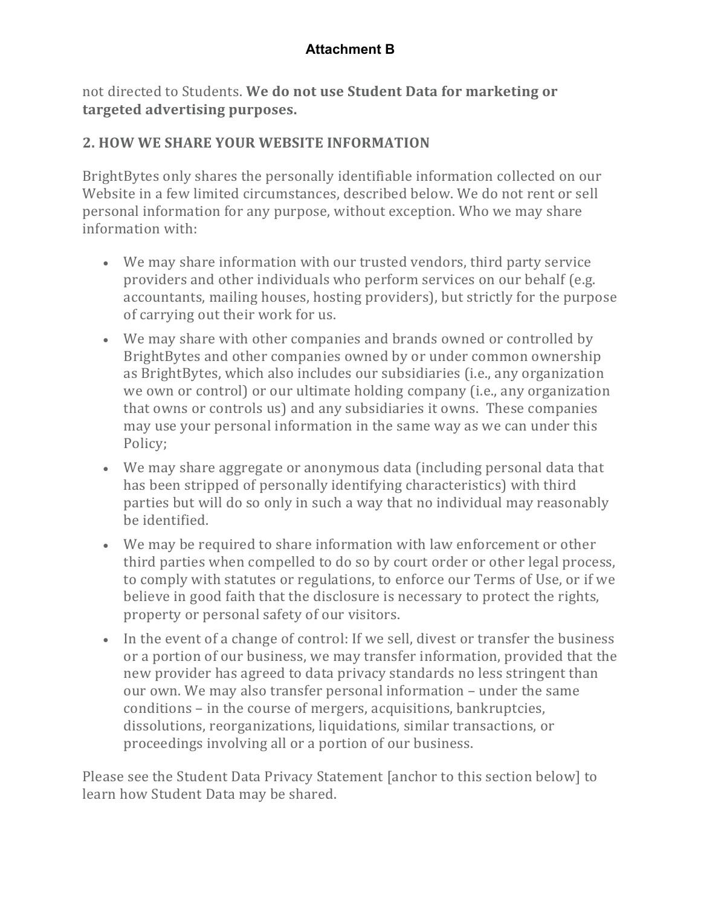not directed to Students. We do not use Student Data for marketing or targeted advertising purposes.

# **2. HOW WE SHARE YOUR WEBSITE INFORMATION**

BrightBytes only shares the personally identifiable information collected on our Website in a few limited circumstances, described below. We do not rent or sell personal information for any purpose, without exception. Who we may share information with:

- We may share information with our trusted vendors, third party service providers and other individuals who perform services on our behalf (e.g. accountants, mailing houses, hosting providers), but strictly for the purpose of carrying out their work for us.
- We may share with other companies and brands owned or controlled by BrightBytes and other companies owned by or under common ownership as BrightBytes, which also includes our subsidiaries (i.e., any organization we own or control) or our ultimate holding company (i.e., any organization that owns or controls us) and any subsidiaries it owns. These companies may use your personal information in the same way as we can under this Policy;
- We may share aggregate or anonymous data (including personal data that has been stripped of personally identifying characteristics) with third parties but will do so only in such a way that no individual may reasonably be identified.
- We may be required to share information with law enforcement or other third parties when compelled to do so by court order or other legal process, to comply with statutes or regulations, to enforce our Terms of Use, or if we believe in good faith that the disclosure is necessary to protect the rights, property or personal safety of our visitors.
- In the event of a change of control: If we sell, divest or transfer the business or a portion of our business, we may transfer information, provided that the new provider has agreed to data privacy standards no less stringent than our own. We may also transfer personal information – under the same conditions – in the course of mergers, acquisitions, bankruptcies, dissolutions, reorganizations, liquidations, similar transactions, or proceedings involving all or a portion of our business.

Please see the Student Data Privacy Statement [anchor to this section below] to learn how Student Data may be shared.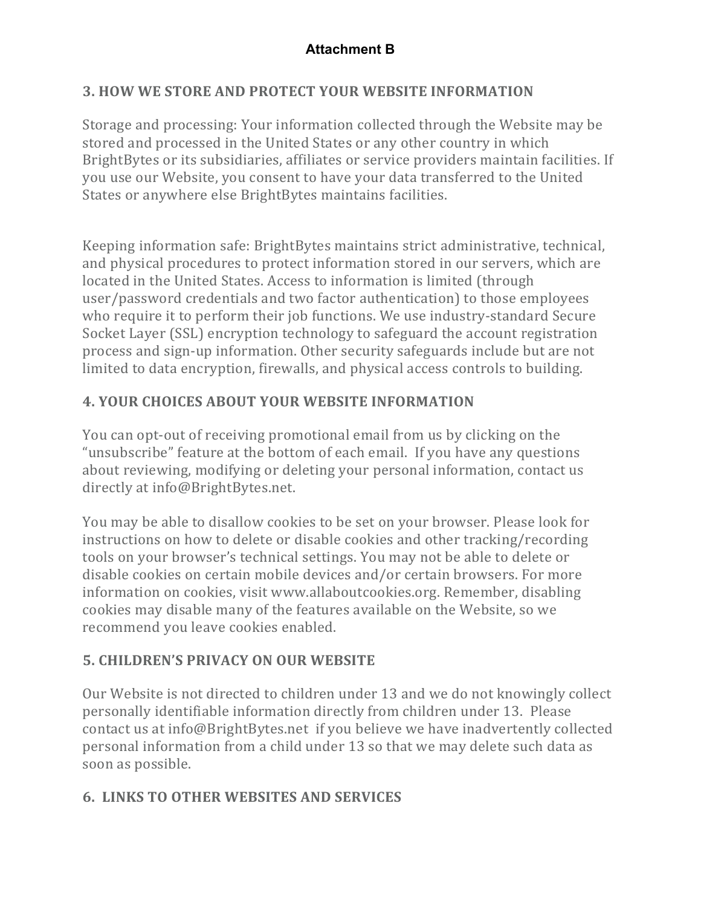# **3. HOW WE STORE AND PROTECT YOUR WEBSITE INFORMATION**

Storage and processing: Your information collected through the Website may be stored and processed in the United States or any other country in which BrightBytes or its subsidiaries, affiliates or service providers maintain facilities. If you use our Website, you consent to have your data transferred to the United States or anywhere else BrightBytes maintains facilities.

Keeping information safe: BrightBytes maintains strict administrative, technical, and physical procedures to protect information stored in our servers, which are located in the United States. Access to information is limited (through user/password credentials and two factor authentication) to those employees who require it to perform their job functions. We use industry-standard Secure Socket Layer (SSL) encryption technology to safeguard the account registration process and sign-up information. Other security safeguards include but are not limited to data encryption, firewalls, and physical access controls to building.

# **4. YOUR CHOICES ABOUT YOUR WEBSITE INFORMATION**

You can opt-out of receiving promotional email from us by clicking on the "unsubscribe" feature at the bottom of each email. If you have any questions about reviewing, modifying or deleting your personal information, contact us directly at info@BrightBytes.net.

You may be able to disallow cookies to be set on your browser. Please look for instructions on how to delete or disable cookies and other tracking/recording tools on your browser's technical settings. You may not be able to delete or disable cookies on certain mobile devices and/or certain browsers. For more information on cookies, visit www.allaboutcookies.org. Remember, disabling cookies may disable many of the features available on the Website, so we recommend you leave cookies enabled.

# **5. CHILDREN'S PRIVACY ON OUR WEBSITE**

Our Website is not directed to children under 13 and we do not knowingly collect personally identifiable information directly from children under 13. Please contact us at info@BrightBytes.net if you believe we have inadvertently collected personal information from a child under 13 so that we may delete such data as soon as possible.

# **6. LINKS TO OTHER WEBSITES AND SERVICES**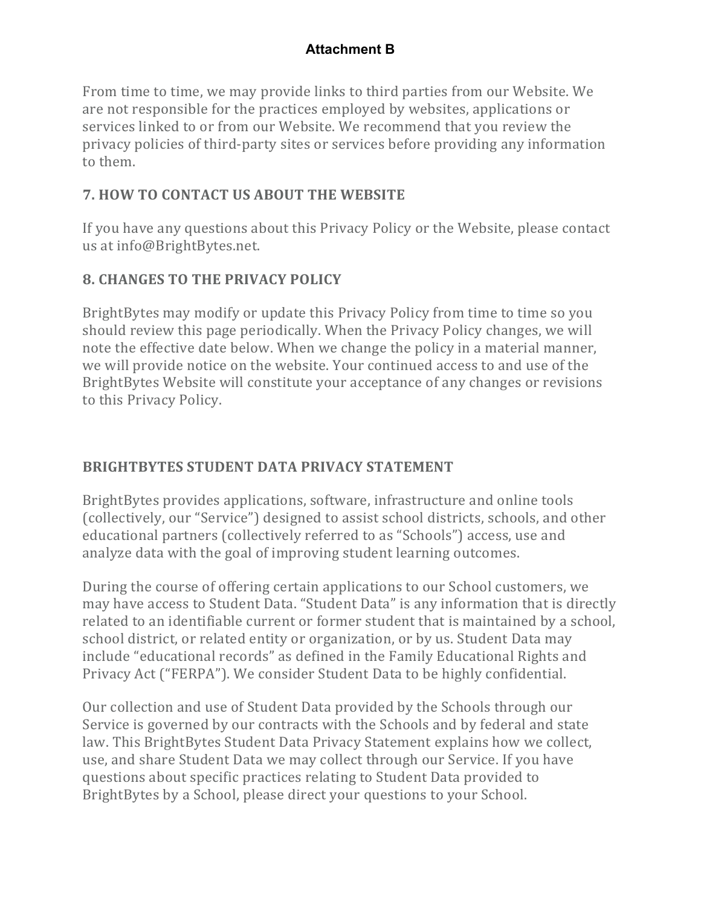From time to time, we may provide links to third parties from our Website. We are not responsible for the practices employed by websites, applications or services linked to or from our Website. We recommend that you review the privacy policies of third-party sites or services before providing any information to them.

## **7. HOW TO CONTACT US ABOUT THE WEBSITE**

If you have any questions about this Privacy Policy or the Website, please contact us at info@BrightBytes.net.

# **8. CHANGES TO THE PRIVACY POLICY**

BrightBytes may modify or update this Privacy Policy from time to time so you should review this page periodically. When the Privacy Policy changes, we will note the effective date below. When we change the policy in a material manner, we will provide notice on the website. Your continued access to and use of the BrightBytes Website will constitute your acceptance of any changes or revisions to this Privacy Policy.

# **BRIGHTBYTES STUDENT DATA PRIVACY STATEMENT**

BrightBytes provides applications, software, infrastructure and online tools (collectively, our "Service") designed to assist school districts, schools, and other educational partners (collectively referred to as "Schools") access, use and analyze data with the goal of improving student learning outcomes.

During the course of offering certain applications to our School customers, we may have access to Student Data. "Student Data" is any information that is directly related to an identifiable current or former student that is maintained by a school, school district, or related entity or organization, or by us. Student Data may include "educational records" as defined in the Family Educational Rights and Privacy Act ("FERPA"). We consider Student Data to be highly confidential.

Our collection and use of Student Data provided by the Schools through our Service is governed by our contracts with the Schools and by federal and state law. This BrightBytes Student Data Privacy Statement explains how we collect, use, and share Student Data we may collect through our Service. If you have questions about specific practices relating to Student Data provided to BrightBytes by a School, please direct your questions to your School.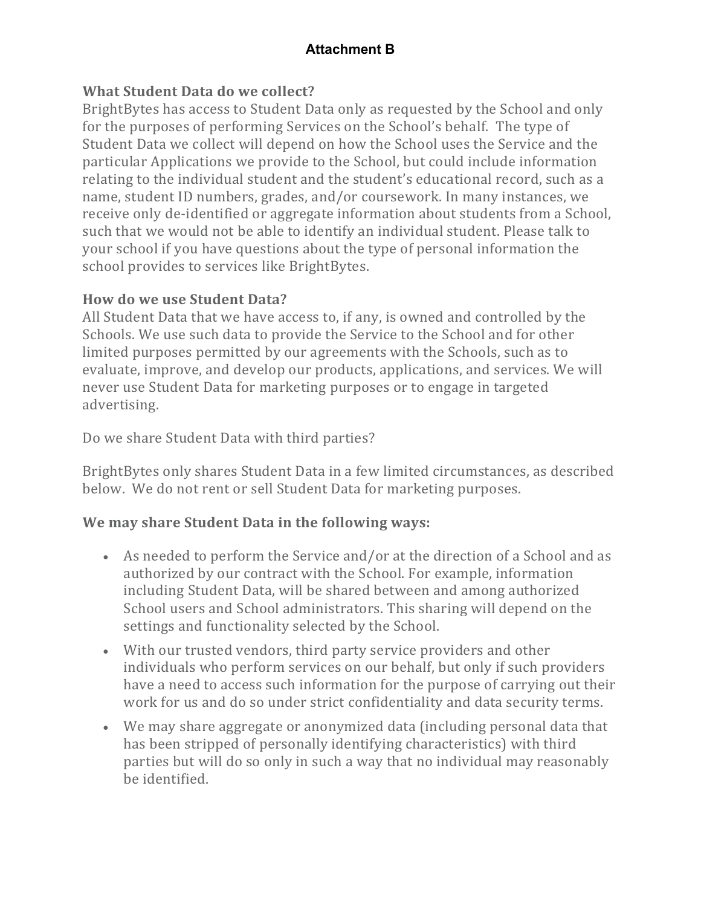#### **What Student Data do we collect?**

BrightBytes has access to Student Data only as requested by the School and only for the purposes of performing Services on the School's behalf. The type of Student Data we collect will depend on how the School uses the Service and the particular Applications we provide to the School, but could include information relating to the individual student and the student's educational record, such as a name, student ID numbers, grades, and/or coursework. In many instances, we receive only de-identified or aggregate information about students from a School, such that we would not be able to identify an individual student. Please talk to your school if you have questions about the type of personal information the school provides to services like BrightBytes.

#### **How do we use Student Data?**

All Student Data that we have access to, if any, is owned and controlled by the Schools. We use such data to provide the Service to the School and for other limited purposes permitted by our agreements with the Schools, such as to evaluate, improve, and develop our products, applications, and services. We will never use Student Data for marketing purposes or to engage in targeted advertising.

Do we share Student Data with third parties?

BrightBytes only shares Student Data in a few limited circumstances, as described below. We do not rent or sell Student Data for marketing purposes.

# We may share Student Data in the following ways:

- As needed to perform the Service and/or at the direction of a School and as authorized by our contract with the School. For example, information including Student Data, will be shared between and among authorized School users and School administrators. This sharing will depend on the settings and functionality selected by the School.
- With our trusted vendors, third party service providers and other individuals who perform services on our behalf, but only if such providers have a need to access such information for the purpose of carrying out their work for us and do so under strict confidentiality and data security terms.
- We may share aggregate or anonymized data (including personal data that has been stripped of personally identifying characteristics) with third parties but will do so only in such a way that no individual may reasonably be identified.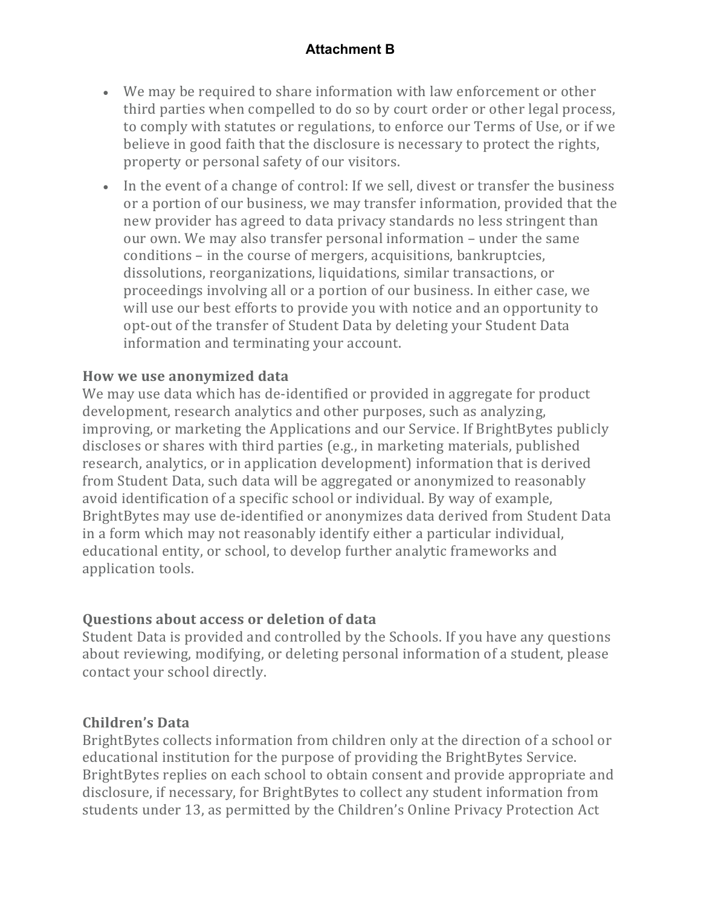- We may be required to share information with law enforcement or other third parties when compelled to do so by court order or other legal process, to comply with statutes or regulations, to enforce our Terms of Use, or if we believe in good faith that the disclosure is necessary to protect the rights, property or personal safety of our visitors.
- In the event of a change of control: If we sell, divest or transfer the business or a portion of our business, we may transfer information, provided that the new provider has agreed to data privacy standards no less stringent than our own. We may also transfer personal information – under the same conditions – in the course of mergers, acquisitions, bankruptcies, dissolutions, reorganizations, liquidations, similar transactions, or proceedings involving all or a portion of our business. In either case, we will use our best efforts to provide you with notice and an opportunity to opt-out of the transfer of Student Data by deleting your Student Data information and terminating your account.

#### **How we use anonymized data**

We may use data which has de-identified or provided in aggregate for product development, research analytics and other purposes, such as analyzing, improving, or marketing the Applications and our Service. If BrightBytes publicly discloses or shares with third parties (e.g., in marketing materials, published research, analytics, or in application development) information that is derived from Student Data, such data will be aggregated or anonymized to reasonably avoid identification of a specific school or individual. By way of example, BrightBytes may use de-identified or anonymizes data derived from Student Data in a form which may not reasonably identify either a particular individual, educational entity, or school, to develop further analytic frameworks and application tools.

#### **Questions about access or deletion of data**

Student Data is provided and controlled by the Schools. If you have any questions about reviewing, modifying, or deleting personal information of a student, please contact your school directly.

#### **Children's Data**

BrightBytes collects information from children only at the direction of a school or educational institution for the purpose of providing the BrightBytes Service. BrightBytes replies on each school to obtain consent and provide appropriate and disclosure, if necessary, for BrightBytes to collect any student information from students under 13, as permitted by the Children's Online Privacy Protection Act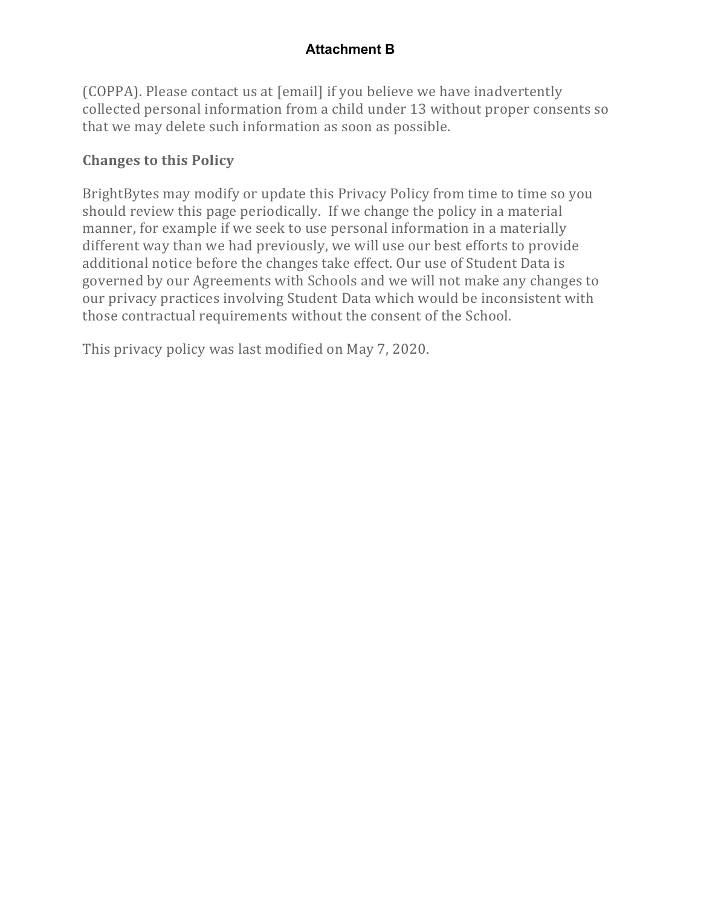(COPPA). Please contact us at [email] if you believe we have inadvertently collected personal information from a child under 13 without proper consents so that we may delete such information as soon as possible.

## **Changes to this Policy**

BrightBytes may modify or update this Privacy Policy from time to time so you should review this page periodically. If we change the policy in a material manner, for example if we seek to use personal information in a materially different way than we had previously, we will use our best efforts to provide additional notice before the changes take effect. Our use of Student Data is governed by our Agreements with Schools and we will not make any changes to our privacy practices involving Student Data which would be inconsistent with those contractual requirements without the consent of the School.

This privacy policy was last modified on May 7, 2020.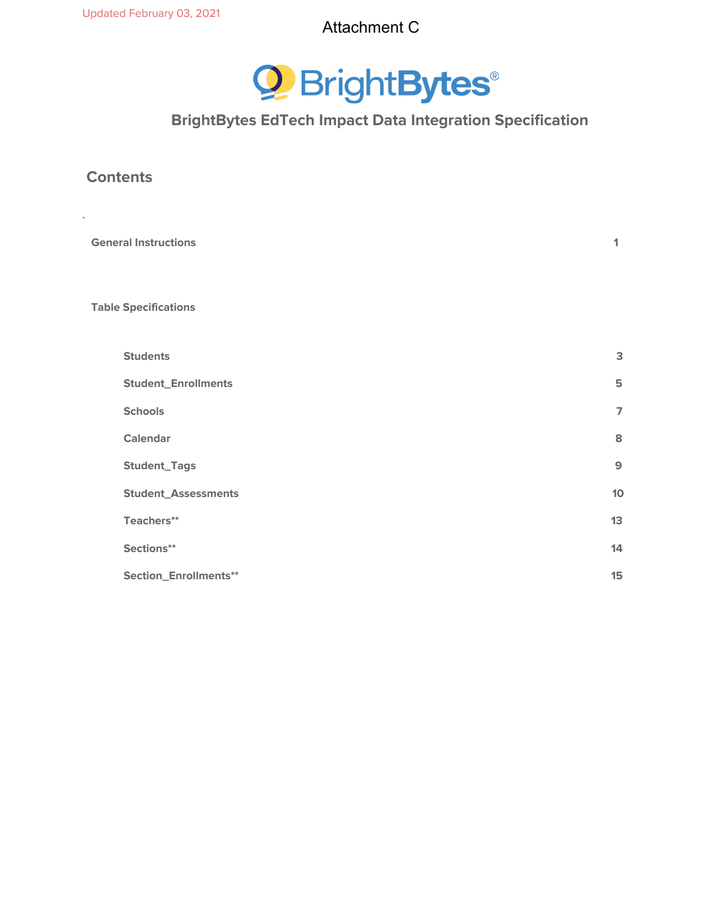

# **BrightBytes EdTech Impact Data Integration Specification**

#### **Contents**

**`**

| <b>General Instructions</b> | 1              |
|-----------------------------|----------------|
| <b>Table Specifications</b> |                |
| <b>Students</b>             | $\mathsf 3$    |
| <b>Student_Enrollments</b>  | 5              |
| <b>Schools</b>              | $\overline{7}$ |
| <b>Calendar</b>             | 8              |
| <b>Student_Tags</b>         | $\mathbf{9}$   |
| <b>Student_Assessments</b>  | 10             |
| Teachers**                  | 13             |
| Sections**                  | 14             |
| Section_Enrollments**       | 15             |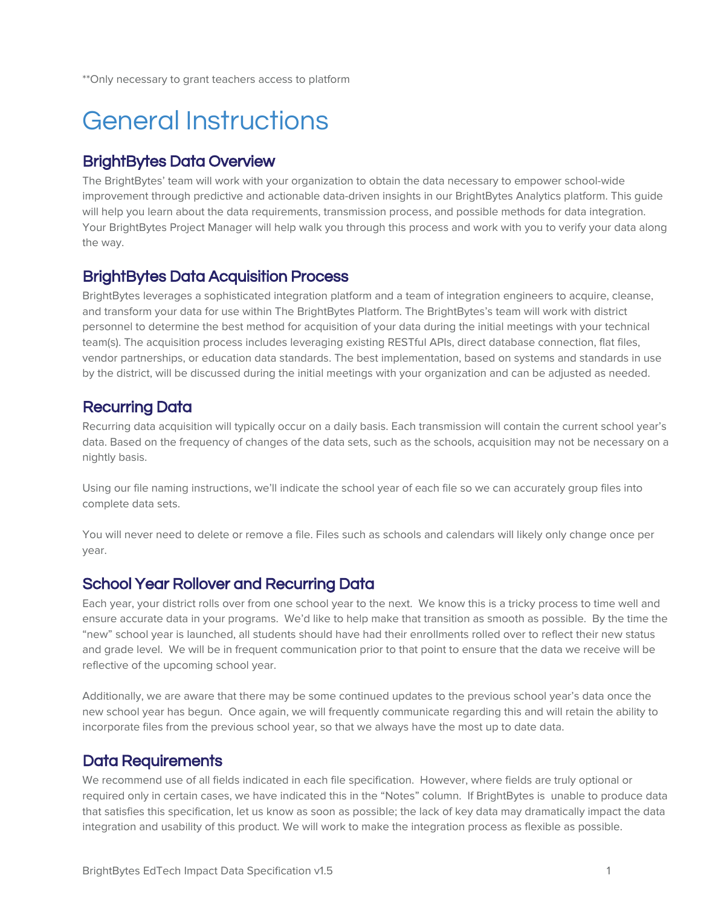\*\*Only necessary to grant teachers access to platform

# General Instructions

#### BrightBytes Data Overview

The BrightBytes' team will work with your organization to obtain the data necessary to empower school-wide improvement through predictive and actionable data-driven insights in our BrightBytes Analytics platform. This guide will help you learn about the data requirements, transmission process, and possible methods for data integration. Your BrightBytes Project Manager will help walk you through this process and work with you to verify your data along the way.

#### BrightBytes Data Acquisition Process

BrightBytes leverages a sophisticated integration platform and a team of integration engineers to acquire, cleanse, and transform your data for use within The BrightBytes Platform. The BrightBytes's team will work with district personnel to determine the best method for acquisition of your data during the initial meetings with your technical team(s). The acquisition process includes leveraging existing RESTful APIs, direct database connection, flat files, vendor partnerships, or education data standards. The best implementation, based on systems and standards in use by the district, will be discussed during the initial meetings with your organization and can be adjusted as needed.

## Recurring Data

Recurring data acquisition will typically occur on a daily basis. Each transmission will contain the current school year's data. Based on the frequency of changes of the data sets, such as the schools, acquisition may not be necessary on a nightly basis.

Using our file naming instructions, we'll indicate the school year of each file so we can accurately group files into complete data sets.

You will never need to delete or remove a file. Files such as schools and calendars will likely only change once per year.

#### School Year Rollover and Recurring Data

Each year, your district rolls over from one school year to the next. We know this is a tricky process to time well and ensure accurate data in your programs. We'd like to help make that transition as smooth as possible. By the time the "new" school year is launched, all students should have had their enrollments rolled over to reflect their new status and grade level. We will be in frequent communication prior to that point to ensure that the data we receive will be reflective of the upcoming school year.

Additionally, we are aware that there may be some continued updates to the previous school year's data once the new school year has begun. Once again, we will frequently communicate regarding this and will retain the ability to incorporate files from the previous school year, so that we always have the most up to date data.

#### Data Requirements

We recommend use of all fields indicated in each file specification. However, where fields are truly optional or required only in certain cases, we have indicated this in the "Notes" column. If BrightBytes is unable to produce data that satisfies this specification, let us know as soon as possible; the lack of key data may dramatically impact the data integration and usability of this product. We will work to make the integration process as flexible as possible.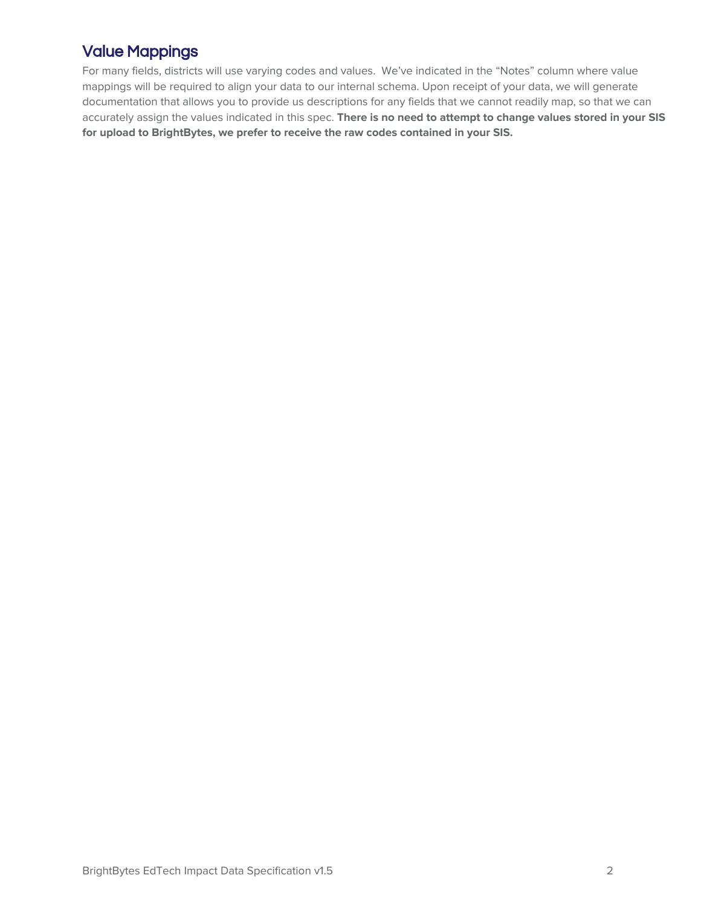# Value Mappings

For many fields, districts will use varying codes and values. We've indicated in the "Notes" column where value mappings will be required to align your data to our internal schema. Upon receipt of your data, we will generate documentation that allows you to provide us descriptions for any fields that we cannot readily map, so that we can accurately assign the values indicated in this spec. **There is no need to attempt to change values stored in your SIS for upload to BrightBytes, we prefer to receive the raw codes contained in your SIS.**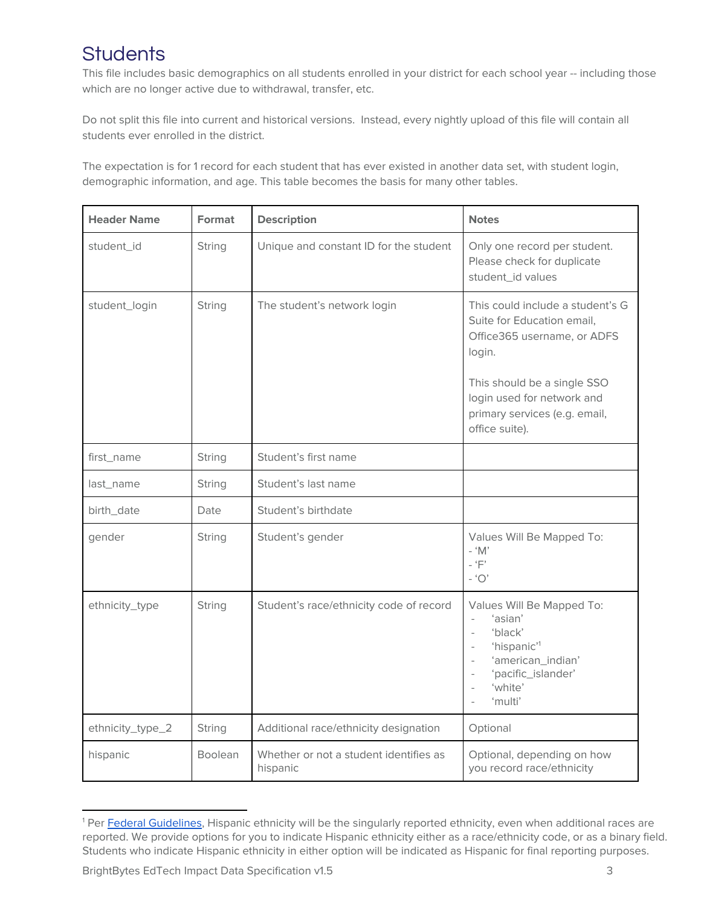# **Students**

This file includes basic demographics on all students enrolled in your district for each school year -- including those which are no longer active due to withdrawal, transfer, etc.

Do not split this file into current and historical versions. Instead, every nightly upload of this file will contain all students ever enrolled in the district.

The expectation is for 1 record for each student that has ever existed in another data set, with student login, demographic information, and age. This table becomes the basis for many other tables.

| <b>Header Name</b> | Format         | <b>Description</b>                                 | <b>Notes</b>                                                                                                                                                                                                                                                                                      |
|--------------------|----------------|----------------------------------------------------|---------------------------------------------------------------------------------------------------------------------------------------------------------------------------------------------------------------------------------------------------------------------------------------------------|
| student_id         | String         | Unique and constant ID for the student             | Only one record per student.<br>Please check for duplicate<br>student_id values                                                                                                                                                                                                                   |
| student_login      | String         | The student's network login                        | This could include a student's G<br>Suite for Education email,<br>Office365 username, or ADFS<br>login.<br>This should be a single SSO<br>login used for network and<br>primary services (e.g. email,<br>office suite).                                                                           |
| first_name         | String         | Student's first name                               |                                                                                                                                                                                                                                                                                                   |
| last_name          | String         | Student's last name                                |                                                                                                                                                                                                                                                                                                   |
| birth_date         | Date           | Student's birthdate                                |                                                                                                                                                                                                                                                                                                   |
| gender             | String         | Student's gender                                   | Values Will Be Mapped To:<br>- ' $M'$<br>- ' $F'$<br>- 'O'                                                                                                                                                                                                                                        |
| ethnicity_type     | String         | Student's race/ethnicity code of record            | Values Will Be Mapped To:<br>'asian'<br>$\overline{\phantom{0}}$<br>'black'<br>$\sim$<br>'hispanic' <sup>1</sup><br>$\overline{\phantom{a}}$<br>'american_indian'<br>$\overline{\phantom{a}}$<br>'pacific_islander'<br>$\overline{\phantom{a}}$<br>'white'<br>$\overline{\phantom{a}}$<br>'multi' |
| ethnicity_type_2   | String         | Additional race/ethnicity designation              | Optional                                                                                                                                                                                                                                                                                          |
| hispanic           | <b>Boolean</b> | Whether or not a student identifies as<br>hispanic | Optional, depending on how<br>you record race/ethnicity                                                                                                                                                                                                                                           |

<sup>&</sup>lt;sup>1</sup> Per Federal [Guidelines](http://www2.ed.gov/policy/rschstat/guid/raceethnicity/index.html?exp=6), Hispanic ethnicity will be the singularly reported ethnicity, even when additional races are reported. We provide options for you to indicate Hispanic ethnicity either as a race/ethnicity code, or as a binary field. Students who indicate Hispanic ethnicity in either option will be indicated as Hispanic for final reporting purposes.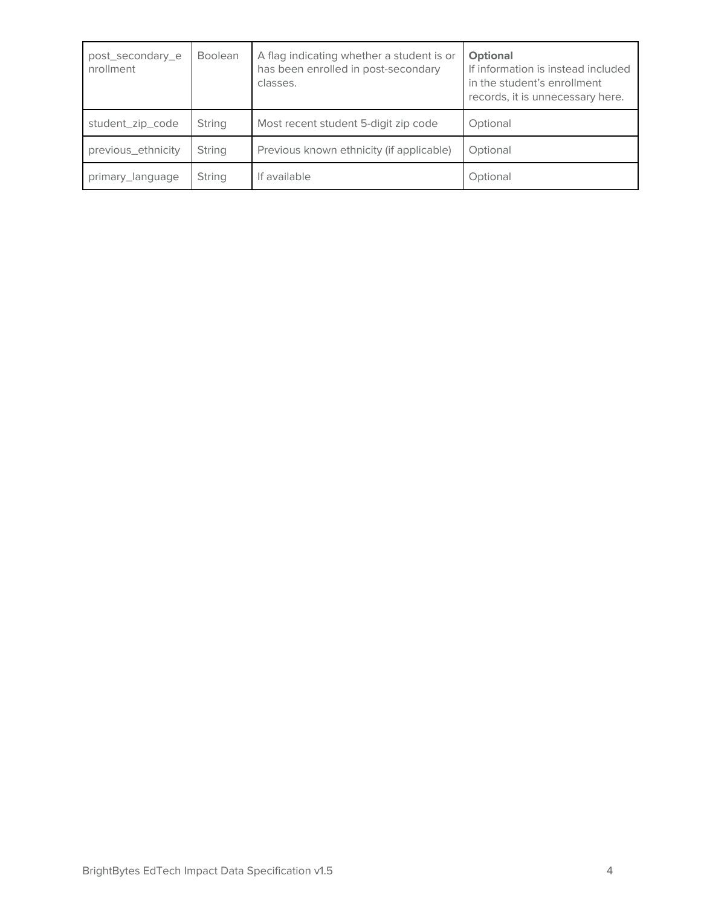| post_secondary_e<br>nrollment | <b>Boolean</b> | A flag indicating whether a student is or<br>has been enrolled in post-secondary<br>classes. | <b>Optional</b><br>If information is instead included<br>in the student's enrollment<br>records, it is unnecessary here. |
|-------------------------------|----------------|----------------------------------------------------------------------------------------------|--------------------------------------------------------------------------------------------------------------------------|
| student_zip_code              | String         | Most recent student 5-digit zip code                                                         | Optional                                                                                                                 |
| previous_ethnicity            | String         | Previous known ethnicity (if applicable)                                                     | Optional                                                                                                                 |
| primary_language              | String         | If available                                                                                 | Optional                                                                                                                 |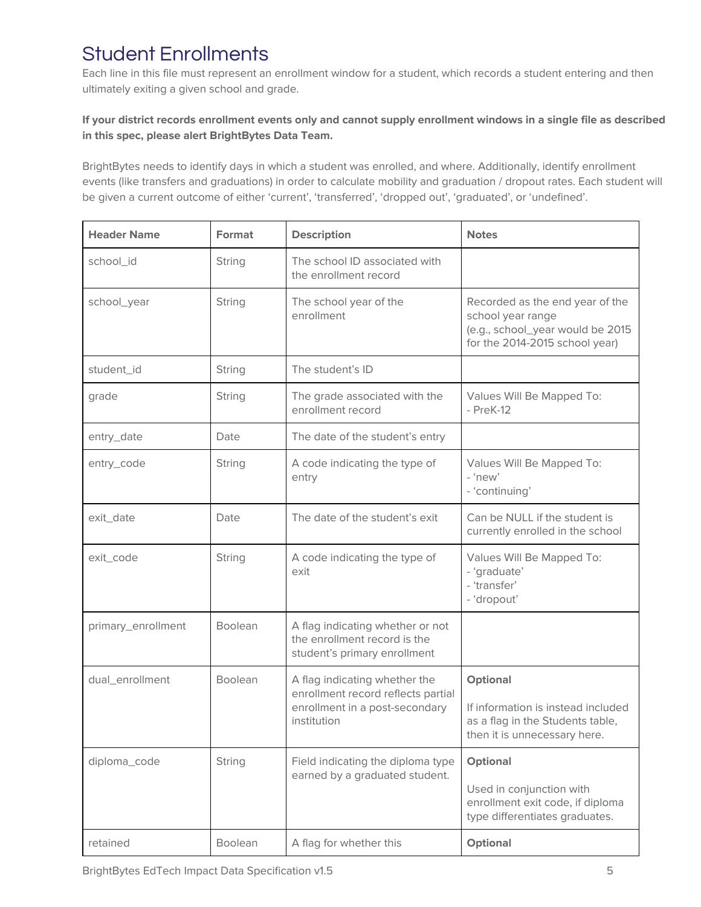# Student Enrollments

Each line in this file must represent an enrollment window for a student, which records a student entering and then ultimately exiting a given school and grade.

#### If your district records enrollment events only and cannot supply enrollment windows in a single file as described **in this spec, please alert BrightBytes Data Team.**

BrightBytes needs to identify days in which a student was enrolled, and where. Additionally, identify enrollment events (like transfers and graduations) in order to calculate mobility and graduation / dropout rates. Each student will be given a current outcome of either 'current', 'transferred', 'dropped out', 'graduated', or 'undefined'.

| <b>Header Name</b> | Format         | <b>Description</b>                                                                                                   | <b>Notes</b>                                                                                                               |
|--------------------|----------------|----------------------------------------------------------------------------------------------------------------------|----------------------------------------------------------------------------------------------------------------------------|
| school_id          | String         | The school ID associated with<br>the enrollment record                                                               |                                                                                                                            |
| school_year        | String         | The school year of the<br>enrollment                                                                                 | Recorded as the end year of the<br>school year range<br>(e.g., school_year would be 2015<br>for the 2014-2015 school year) |
| student_id         | String         | The student's ID                                                                                                     |                                                                                                                            |
| grade              | <b>String</b>  | The grade associated with the<br>enrollment record                                                                   | Values Will Be Mapped To:<br>$-$ PreK-12                                                                                   |
| entry_date         | Date           | The date of the student's entry                                                                                      |                                                                                                                            |
| entry_code         | <b>String</b>  | A code indicating the type of<br>entry                                                                               | Values Will Be Mapped To:<br>$-$ 'new'<br>- 'continuing'                                                                   |
| exit_date          | Date           | The date of the student's exit                                                                                       | Can be NULL if the student is<br>currently enrolled in the school                                                          |
| exit_code          | String         | A code indicating the type of<br>exit                                                                                | Values Will Be Mapped To:<br>- 'graduate'<br>- 'transfer'<br>- 'dropout'                                                   |
| primary_enrollment | <b>Boolean</b> | A flag indicating whether or not<br>the enrollment record is the<br>student's primary enrollment                     |                                                                                                                            |
| dual_enrollment    | Boolean        | A flag indicating whether the<br>enrollment record reflects partial<br>enrollment in a post-secondary<br>institution | <b>Optional</b><br>If information is instead included<br>as a flag in the Students table,<br>then it is unnecessary here.  |
| diploma_code       | String         | Field indicating the diploma type<br>earned by a graduated student.                                                  | <b>Optional</b><br>Used in conjunction with<br>enrollment exit code, if diploma<br>type differentiates graduates.          |
| retained           | Boolean        | A flag for whether this                                                                                              | Optional                                                                                                                   |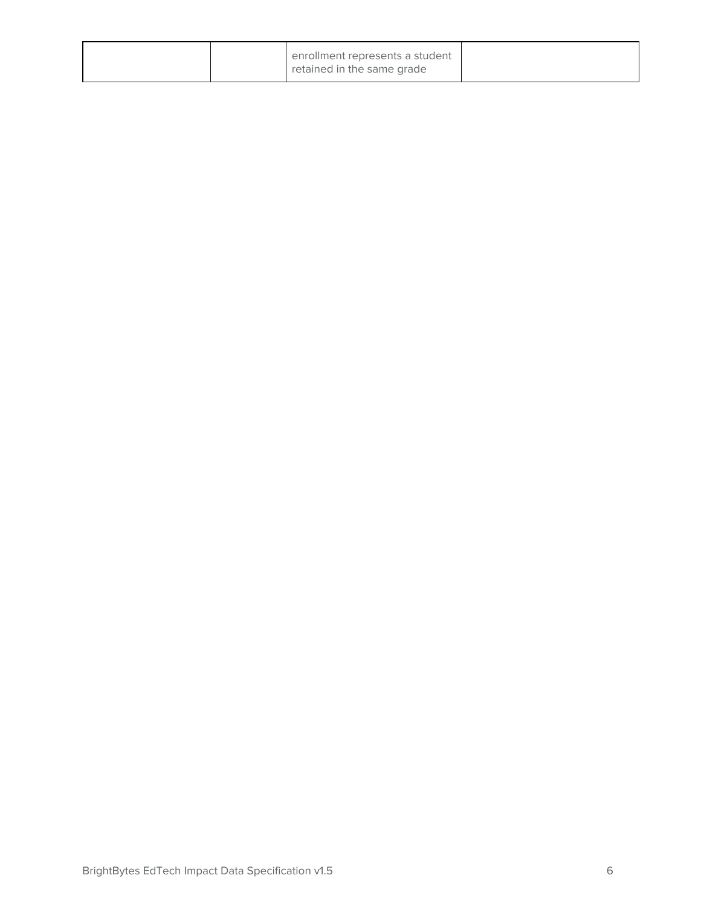|  | enrollment represents a student<br>retained in the same grade |  |
|--|---------------------------------------------------------------|--|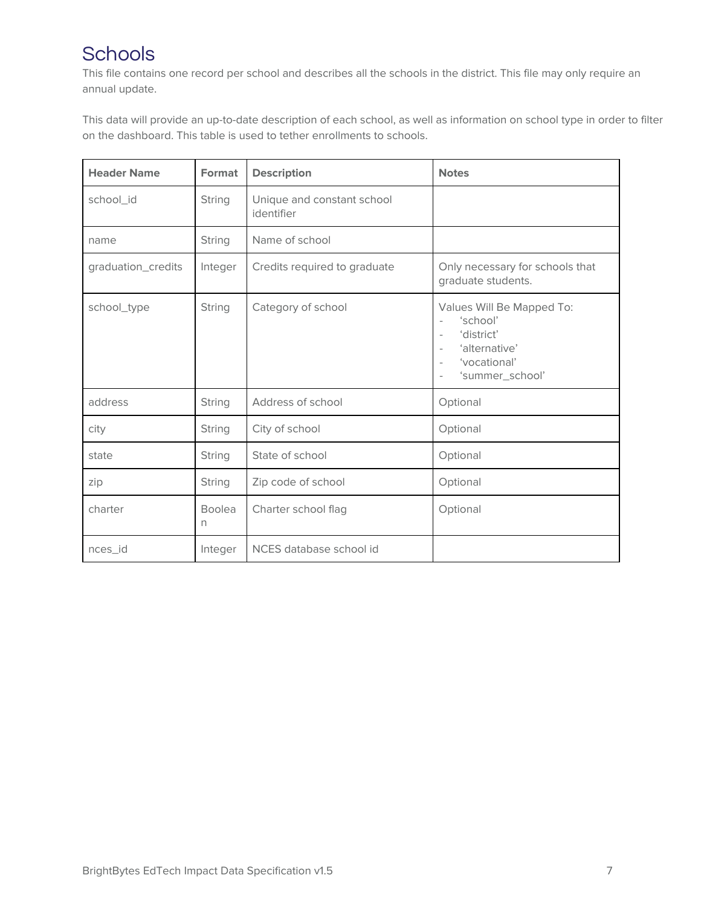# **Schools**

This file contains one record per school and describes all the schools in the district. This file may only require an annual update.

This data will provide an up-to-date description of each school, as well as information on school type in order to filter on the dashboard. This table is used to tether enrollments to schools.

| <b>Header Name</b> | <b>Format</b>      | <b>Description</b>                       | <b>Notes</b>                                                                                                                                                                                                                         |
|--------------------|--------------------|------------------------------------------|--------------------------------------------------------------------------------------------------------------------------------------------------------------------------------------------------------------------------------------|
| school id          | String             | Unique and constant school<br>identifier |                                                                                                                                                                                                                                      |
| name               | String             | Name of school                           |                                                                                                                                                                                                                                      |
| graduation_credits | Integer            | Credits required to graduate             | Only necessary for schools that<br>graduate students.                                                                                                                                                                                |
| school_type        | String             | Category of school                       | Values Will Be Mapped To:<br>'school'<br>$\bar{ }$<br>'district'<br>$\overline{\phantom{a}}$<br>'alternative'<br>$\overline{\phantom{a}}$<br>'vocational'<br>$\overline{\phantom{a}}$<br>'summer_school'<br>$\overline{\phantom{a}}$ |
| address            | String             | Address of school                        | Optional                                                                                                                                                                                                                             |
| city               | String             | City of school                           | Optional                                                                                                                                                                                                                             |
| state              | String             | State of school                          | Optional                                                                                                                                                                                                                             |
| zip                | String             | Zip code of school                       | Optional                                                                                                                                                                                                                             |
| charter            | <b>Boolea</b><br>n | Charter school flag                      | Optional                                                                                                                                                                                                                             |
| nces_id            | Integer            | NCES database school id                  |                                                                                                                                                                                                                                      |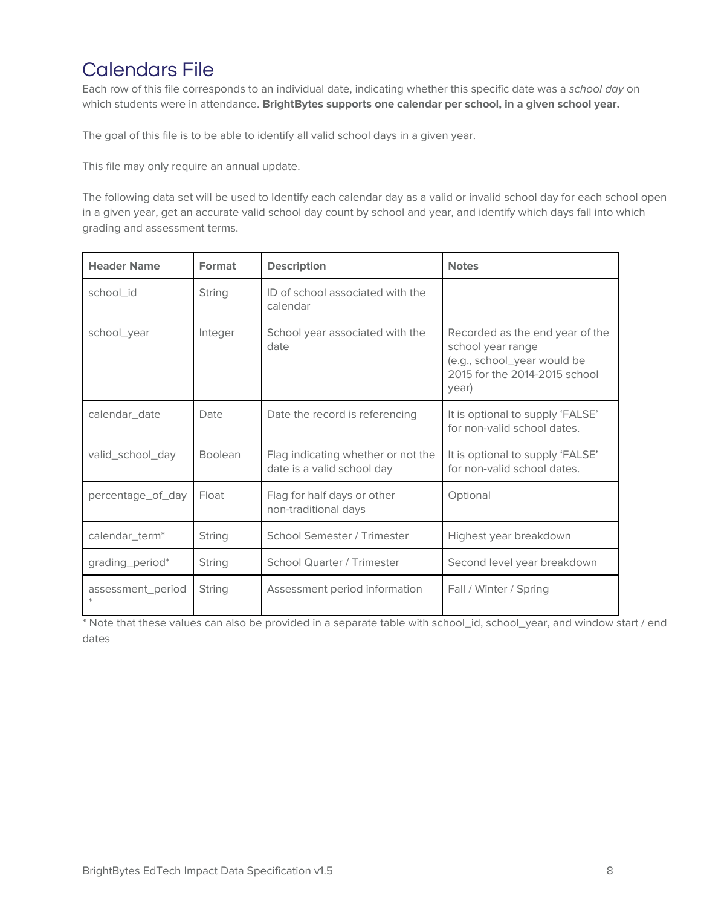# Calendars File

Each row of this file corresponds to an individual date, indicating whether this specific date was a school day on which students were in attendance. **BrightBytes supports one calendar per school, in a given school year.**

The goal of this file is to be able to identify all valid school days in a given year.

This file may only require an annual update.

The following data set will be used to Identify each calendar day as a valid or invalid school day for each school open in a given year, get an accurate valid school day count by school and year, and identify which days fall into which grading and assessment terms.

| <b>Header Name</b>         | Format         | <b>Description</b>                                               | <b>Notes</b>                                                                                                                  |
|----------------------------|----------------|------------------------------------------------------------------|-------------------------------------------------------------------------------------------------------------------------------|
| school id                  | String         | ID of school associated with the<br>calendar                     |                                                                                                                               |
| school_year                | Integer        | School year associated with the<br>date                          | Recorded as the end year of the<br>school year range<br>(e.g., school_year would be<br>2015 for the 2014-2015 school<br>year) |
| calendar date              | Date           | Date the record is referencing                                   | It is optional to supply 'FALSE'<br>for non-valid school dates.                                                               |
| valid_school_day           | <b>Boolean</b> | Flag indicating whether or not the<br>date is a valid school day | It is optional to supply 'FALSE'<br>for non-valid school dates.                                                               |
| percentage_of_day          | Float          | Flag for half days or other<br>non-traditional days              | Optional                                                                                                                      |
| calendar_term <sup>*</sup> | String         | School Semester / Trimester                                      | Highest year breakdown                                                                                                        |
| grading_period*            | String         | <b>School Quarter / Trimester</b>                                | Second level year breakdown                                                                                                   |
| assessment_period          | String         | Assessment period information                                    | Fall / Winter / Spring                                                                                                        |

\* Note that these values can also be provided in a separate table with school\_id, school\_year, and window start / end dates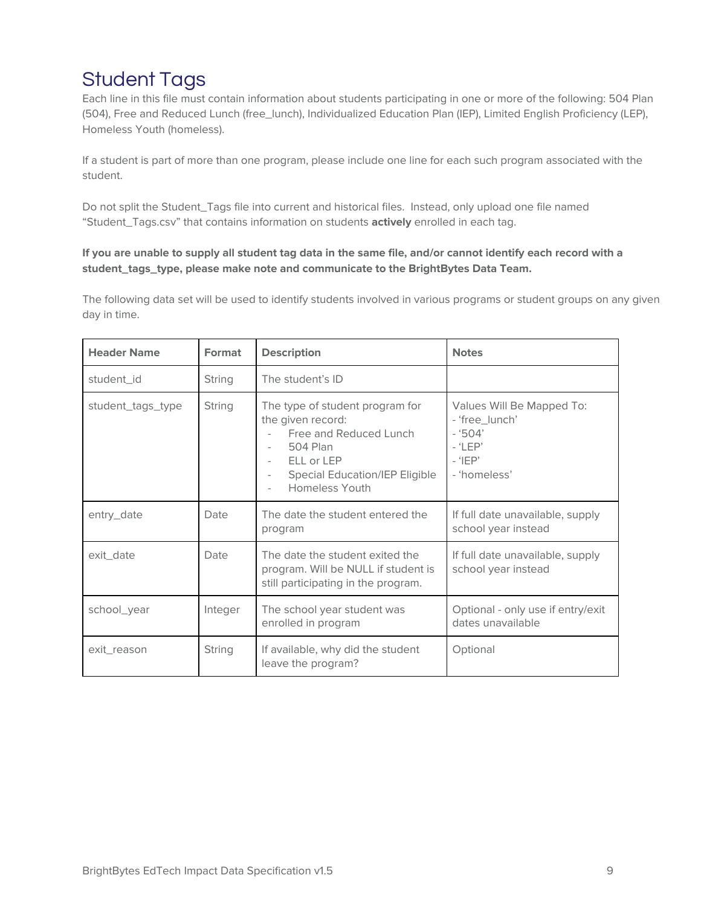# Student Tags

Each line in this file must contain information about students participating in one or more of the following: 504 Plan (504), Free and Reduced Lunch (free\_lunch), Individualized Education Plan (IEP), Limited English Proficiency (LEP), Homeless Youth (homeless).

If a student is part of more than one program, please include one line for each such program associated with the student.

Do not split the Student\_Tags file into current and historical files. Instead, only upload one file named "Student\_Tags.csv" that contains information on students **actively** enrolled in each tag.

#### If you are unable to supply all student tag data in the same file, and/or cannot identify each record with a **student\_tags\_type, please make note and communicate to the BrightBytes Data Team.**

The following data set will be used to identify students involved in various programs or student groups on any given day in time.

| <b>Header Name</b> | Format  | <b>Description</b>                                                                                                                                                  | <b>Notes</b>                                                                                      |
|--------------------|---------|---------------------------------------------------------------------------------------------------------------------------------------------------------------------|---------------------------------------------------------------------------------------------------|
| student_id         | String  | The student's ID                                                                                                                                                    |                                                                                                   |
| student_tags_type  | String  | The type of student program for<br>the given record:<br>Free and Reduced Lunch<br>504 Plan<br>ELL or LEP<br><b>Special Education/IEP Eligible</b><br>Homeless Youth | Values Will Be Mapped To:<br>- 'free_lunch'<br>$-9504'$<br>$-$ 'LEP'<br>$-$ 'IEP'<br>- 'homeless' |
| entry_date         | Date    | The date the student entered the<br>program                                                                                                                         | If full date unavailable, supply<br>school year instead                                           |
| exit date          | Date    | The date the student exited the<br>program. Will be NULL if student is<br>still participating in the program.                                                       | If full date unavailable, supply<br>school year instead                                           |
| school_year        | Integer | The school year student was<br>enrolled in program                                                                                                                  | Optional - only use if entry/exit<br>dates unavailable                                            |
| exit reason        | String  | If available, why did the student<br>leave the program?                                                                                                             | Optional                                                                                          |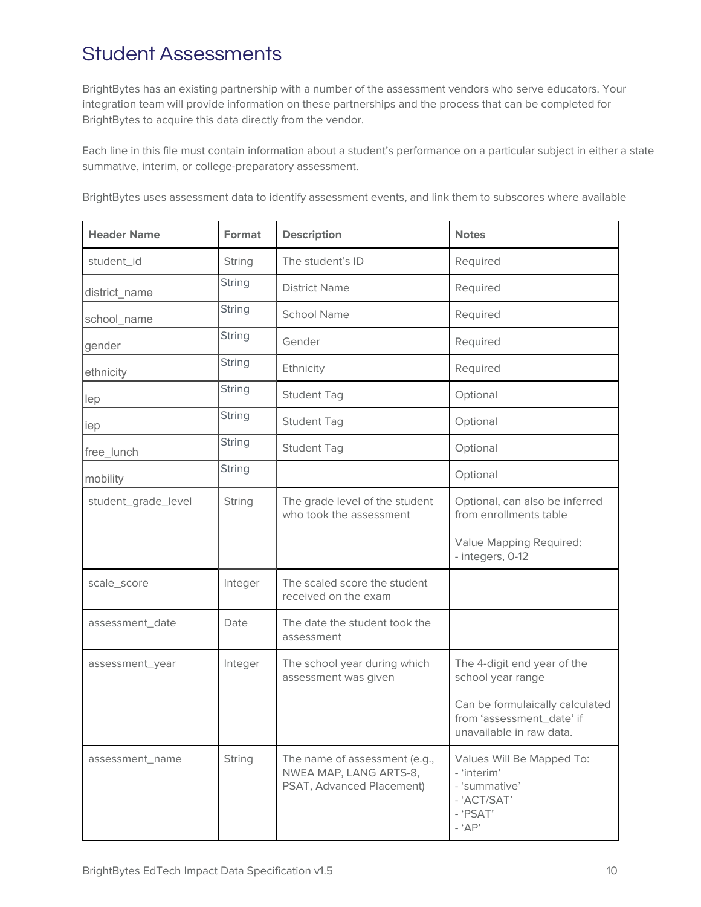# Student Assessments

BrightBytes has an existing partnership with a number of the assessment vendors who serve educators. Your integration team will provide information on these partnerships and the process that can be completed for BrightBytes to acquire this data directly from the vendor.

Each line in this file must contain information about a student's performance on a particular subject in either a state summative, interim, or college-preparatory assessment.

BrightBytes uses assessment data to identify assessment events, and link them to subscores where available

| <b>Header Name</b>  | Format        | <b>Description</b>                                                                   | <b>Notes</b>                                                                                     |
|---------------------|---------------|--------------------------------------------------------------------------------------|--------------------------------------------------------------------------------------------------|
| student_id          | String        | The student's ID                                                                     | Required                                                                                         |
| district_name       | <b>String</b> | <b>District Name</b>                                                                 | Required                                                                                         |
| school_name         | <b>String</b> | <b>School Name</b>                                                                   | Required                                                                                         |
| gender              | <b>String</b> | Gender                                                                               | Required                                                                                         |
| ethnicity           | <b>String</b> | Ethnicity                                                                            | Required                                                                                         |
| lep                 | <b>String</b> | <b>Student Tag</b>                                                                   | Optional                                                                                         |
| iep                 | String        | <b>Student Tag</b>                                                                   | Optional                                                                                         |
| free_lunch          | <b>String</b> | <b>Student Tag</b>                                                                   | Optional                                                                                         |
| mobility            | <b>String</b> |                                                                                      | Optional                                                                                         |
| student_grade_level | String        | The grade level of the student<br>who took the assessment                            | Optional, can also be inferred<br>from enrollments table                                         |
|                     |               |                                                                                      | Value Mapping Required:<br>- integers, 0-12                                                      |
| scale_score         | Integer       | The scaled score the student<br>received on the exam                                 |                                                                                                  |
| assessment_date     | Date          | The date the student took the<br>assessment                                          |                                                                                                  |
| assessment_year     | Integer       | The school year during which<br>assessment was given                                 | The 4-digit end year of the<br>school year range                                                 |
|                     |               |                                                                                      | Can be formulaically calculated<br>from 'assessment_date' if<br>unavailable in raw data          |
| assessment_name     | String        | The name of assessment (e.g.,<br>NWEA MAP, LANG ARTS-8,<br>PSAT, Advanced Placement) | Values Will Be Mapped To:<br>- 'interim'<br>- 'summative'<br>- 'ACT/SAT'<br>- 'PSAT'<br>$-$ 'AP' |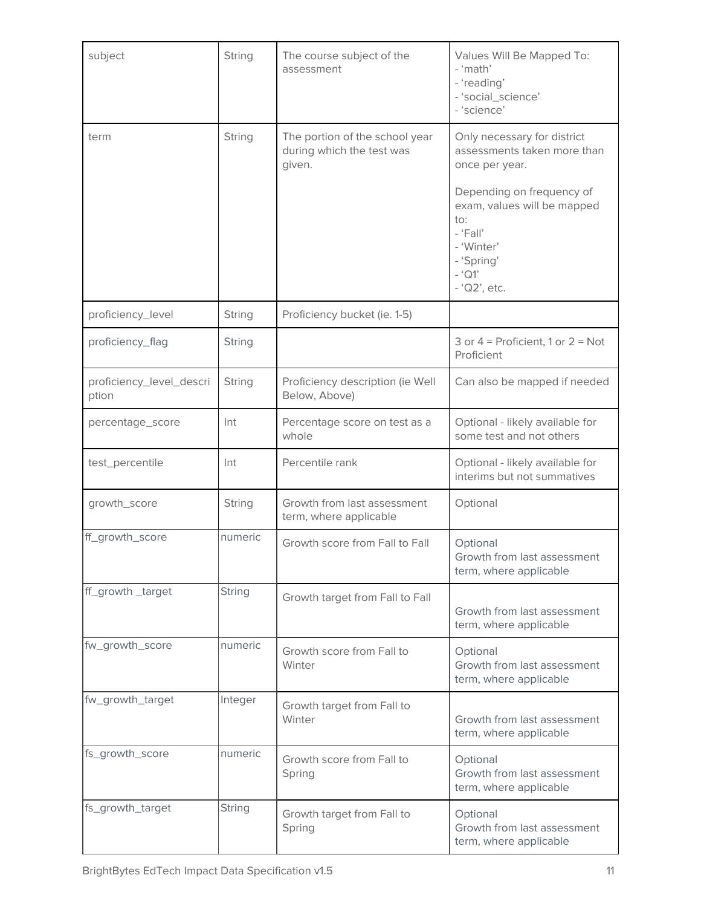| subject                           | String        | The course subject of the<br>assessment                               | Values Will Be Mapped To:<br>- 'math'<br>- 'reading'<br>- 'social_science'<br>- 'science'                                             |
|-----------------------------------|---------------|-----------------------------------------------------------------------|---------------------------------------------------------------------------------------------------------------------------------------|
| term                              | String        | The portion of the school year<br>during which the test was<br>given. | Only necessary for district<br>assessments taken more than<br>once per year.                                                          |
|                                   |               |                                                                       | Depending on frequency of<br>exam, values will be mapped<br>to:<br>- 'Fall'<br>- 'Winter'<br>- 'Spring'<br>$-$ 'Q1'<br>$-$ 'Q2', etc. |
| proficiency_level                 | <b>String</b> | Proficiency bucket (ie. 1-5)                                          |                                                                                                                                       |
| proficiency_flag                  | String        |                                                                       | 3 or $4$ = Proficient, 1 or $2$ = Not<br>Proficient                                                                                   |
| proficiency_level_descri<br>ption | String        | Proficiency description (ie Well<br>Below, Above)                     | Can also be mapped if needed                                                                                                          |
| percentage_score                  | Int           | Percentage score on test as a<br>whole                                | Optional - likely available for<br>some test and not others                                                                           |
| test_percentile                   | Int           | Percentile rank                                                       | Optional - likely available for<br>interims but not summatives                                                                        |
| growth_score                      | String        | Growth from last assessment<br>term, where applicable                 | Optional                                                                                                                              |
| ff_growth_score                   | numeric       | Growth score from Fall to Fall                                        | Optional<br>Growth from last assessment<br>term, where applicable                                                                     |
| ff_growth _target                 | <b>String</b> | Growth target from Fall to Fall                                       | Growth from last assessment<br>term, where applicable                                                                                 |
| fw_growth_score                   | numeric       | Growth score from Fall to<br>Winter                                   | Optional<br>Growth from last assessment<br>term, where applicable                                                                     |
| fw_growth_target                  | Integer       | Growth target from Fall to<br>Winter                                  | Growth from last assessment<br>term, where applicable                                                                                 |
| fs_growth_score                   | numeric       | Growth score from Fall to<br>Spring                                   | Optional<br>Growth from last assessment<br>term, where applicable                                                                     |
| fs_growth_target                  | <b>String</b> | Growth target from Fall to<br>Spring                                  | Optional<br>Growth from last assessment<br>term, where applicable                                                                     |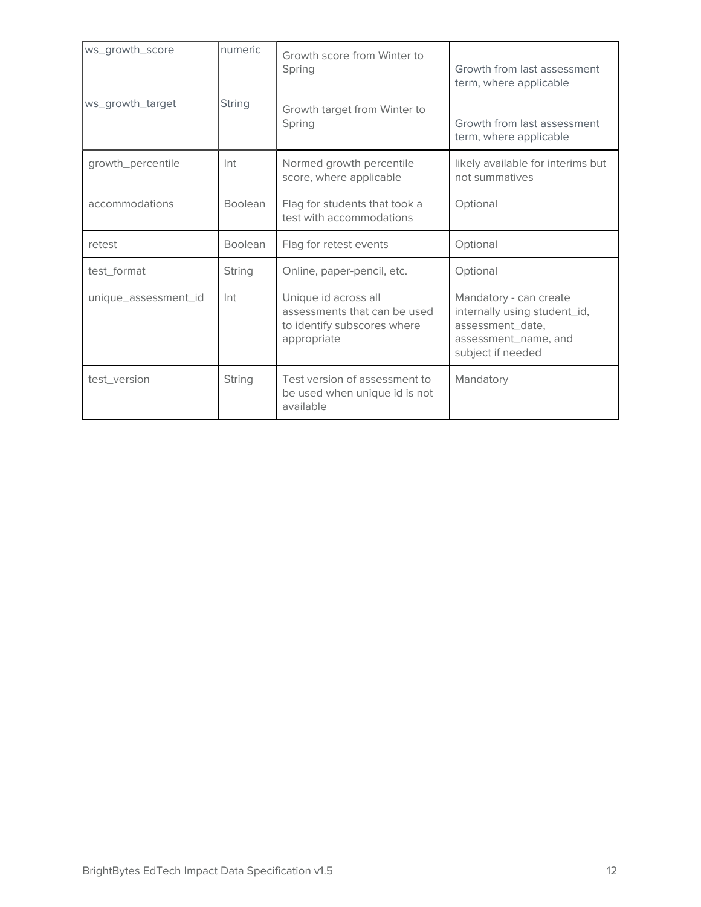| ws_growth_score      | numeric        | Growth score from Winter to<br>Spring                                                              | Growth from last assessment<br>term, where applicable                                                                   |  |
|----------------------|----------------|----------------------------------------------------------------------------------------------------|-------------------------------------------------------------------------------------------------------------------------|--|
| ws_growth_target     | <b>String</b>  | Growth target from Winter to<br>Spring                                                             | Growth from last assessment<br>term, where applicable                                                                   |  |
| growth_percentile    | Int            | Normed growth percentile<br>score, where applicable                                                | likely available for interims but<br>not summatives                                                                     |  |
| accommodations       | <b>Boolean</b> | Flag for students that took a<br>test with accommodations                                          | Optional                                                                                                                |  |
| retest               | <b>Boolean</b> | Flag for retest events<br>Optional                                                                 |                                                                                                                         |  |
| test_format          | String         | Online, paper-pencil, etc.                                                                         | Optional                                                                                                                |  |
| unique_assessment_id | Int            | Unique id across all<br>assessments that can be used<br>to identify subscores where<br>appropriate | Mandatory - can create<br>internally using student_id,<br>assessment_date,<br>assessment_name, and<br>subject if needed |  |
| test_version         | <b>String</b>  | Test version of assessment to<br>be used when unique id is not<br>available                        | Mandatory                                                                                                               |  |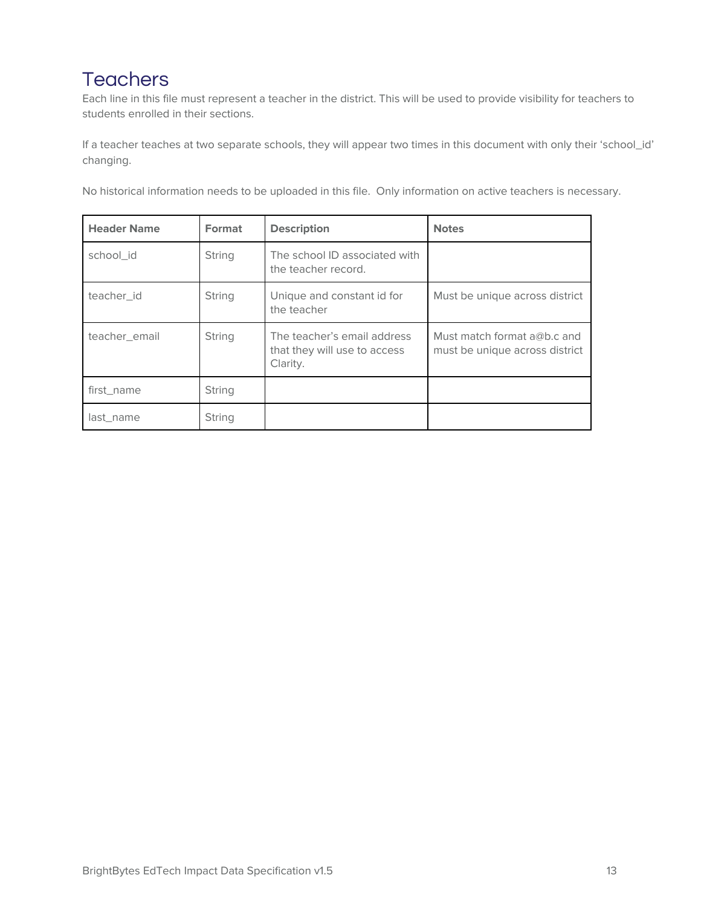# **Teachers**

Each line in this file must represent a teacher in the district. This will be used to provide visibility for teachers to students enrolled in their sections.

If a teacher teaches at two separate schools, they will appear two times in this document with only their 'school\_id' changing.

No historical information needs to be uploaded in this file. Only information on active teachers is necessary.

| <b>Header Name</b> | Format | <b>Description</b>                                                      | <b>Notes</b>                                                    |
|--------------------|--------|-------------------------------------------------------------------------|-----------------------------------------------------------------|
| school_id          | String | The school ID associated with<br>the teacher record.                    |                                                                 |
| teacher id         | String | Unique and constant id for<br>the teacher                               | Must be unique across district                                  |
| teacher email      | String | The teacher's email address<br>that they will use to access<br>Clarity. | Must match format $a@b.c$ and<br>must be unique across district |
| first name         | String |                                                                         |                                                                 |
| last name          | String |                                                                         |                                                                 |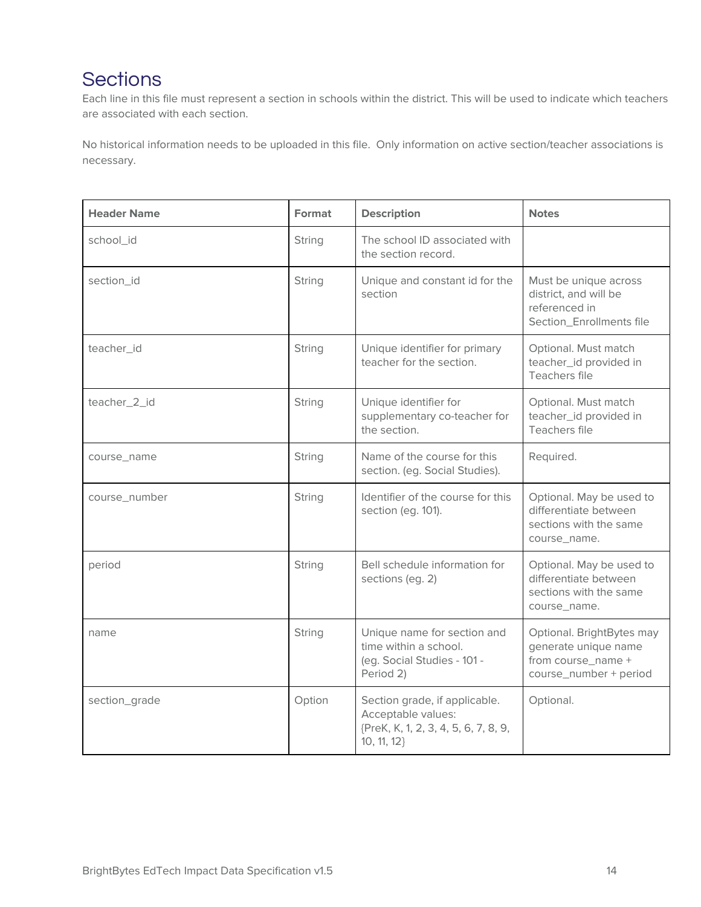# **Sections**

Each line in this file must represent a section in schools within the district. This will be used to indicate which teachers are associated with each section.

No historical information needs to be uploaded in this file. Only information on active section/teacher associations is necessary.

| <b>Header Name</b> | Format | <b>Description</b>                                                                                         | <b>Notes</b>                                                                                      |
|--------------------|--------|------------------------------------------------------------------------------------------------------------|---------------------------------------------------------------------------------------------------|
| school_id          | String | The school ID associated with<br>the section record.                                                       |                                                                                                   |
| section_id         | String | Unique and constant id for the<br>section                                                                  | Must be unique across<br>district, and will be<br>referenced in<br>Section_Enrollments file       |
| teacher_id         | String | Unique identifier for primary<br>teacher for the section.                                                  | Optional. Must match<br>teacher_id provided in<br>Teachers file                                   |
| teacher_2_id       | String | Unique identifier for<br>supplementary co-teacher for<br>the section.                                      | Optional. Must match<br>teacher_id provided in<br>Teachers file                                   |
| course_name        | String | Name of the course for this<br>section. (eg. Social Studies).                                              | Required.                                                                                         |
| course_number      | String | Identifier of the course for this<br>section (eg. 101).                                                    | Optional. May be used to<br>differentiate between<br>sections with the same<br>course_name.       |
| period             | String | Bell schedule information for<br>sections (eg. 2)                                                          | Optional. May be used to<br>differentiate between<br>sections with the same<br>course_name.       |
| name               | String | Unique name for section and<br>time within a school.<br>(eg. Social Studies - 101 -<br>Period 2)           | Optional. BrightBytes may<br>generate unique name<br>from course_name +<br>course_number + period |
| section_grade      | Option | Section grade, if applicable.<br>Acceptable values:<br>{PreK, K, 1, 2, 3, 4, 5, 6, 7, 8, 9,<br>10, 11, 12} | Optional.                                                                                         |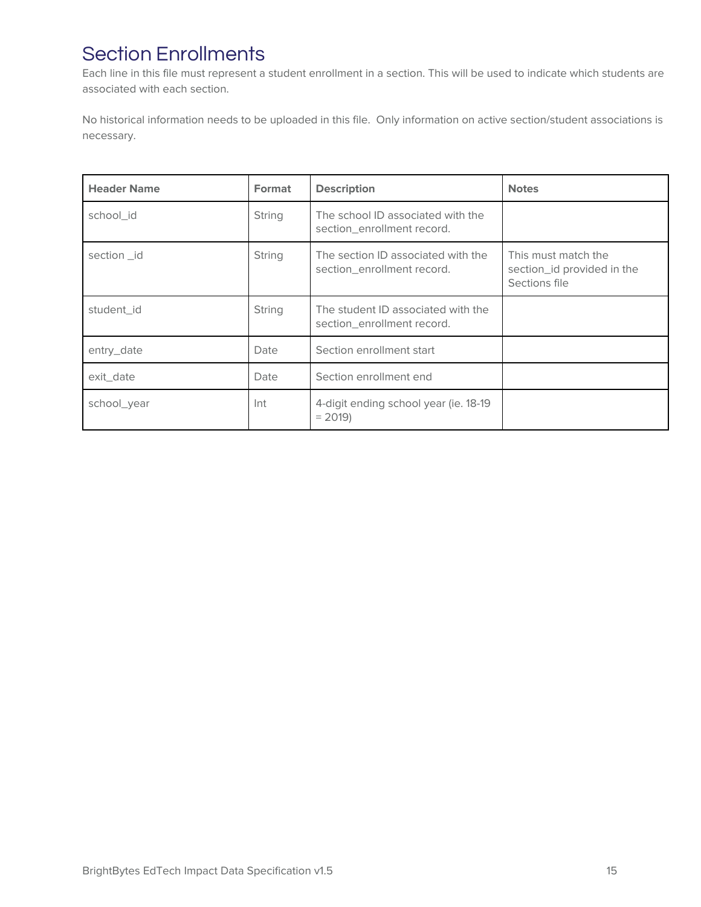# Section Enrollments

Each line in this file must represent a student enrollment in a section. This will be used to indicate which students are associated with each section.

No historical information needs to be uploaded in this file. Only information on active section/student associations is necessary.

| <b>Header Name</b> | Format | <b>Description</b>                                               | <b>Notes</b>                                                       |
|--------------------|--------|------------------------------------------------------------------|--------------------------------------------------------------------|
| school id          | String | The school ID associated with the<br>section_enrollment record.  |                                                                    |
| section_id         | String | The section ID associated with the<br>section_enrollment record. | This must match the<br>section_id provided in the<br>Sections file |
| student id         | String | The student ID associated with the<br>section enrollment record. |                                                                    |
| entry_date         | Date   | Section enrollment start                                         |                                                                    |
| exit date          | Date   | Section enrollment end                                           |                                                                    |
| school_year        | Int    | 4-digit ending school year (ie. 18-19)<br>$= 2019$               |                                                                    |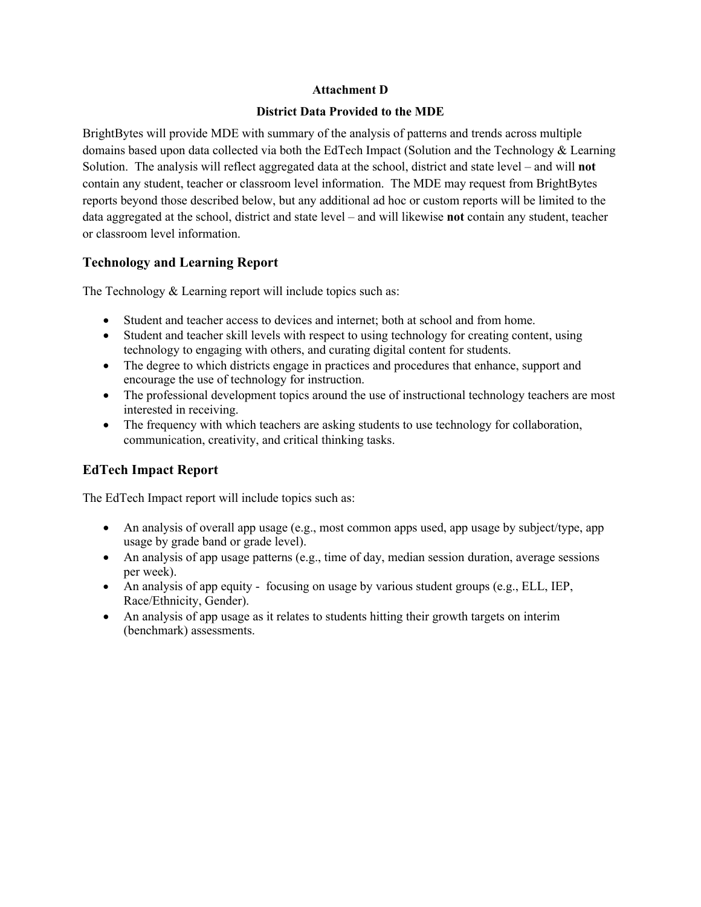#### **District Data Provided to the MDE**

BrightBytes will provide MDE with summary of the analysis of patterns and trends across multiple domains based upon data collected via both the EdTech Impact (Solution and the Technology & Learning Solution. The analysis will reflect aggregated data at the school, district and state level – and will **not** contain any student, teacher or classroom level information. The MDE may request from BrightBytes reports beyond those described below, but any additional ad hoc or custom reports will be limited to the data aggregated at the school, district and state level – and will likewise **not** contain any student, teacher or classroom level information.

#### **Technology and Learning Report**

The Technology & Learning report will include topics such as:

- Student and teacher access to devices and internet; both at school and from home.
- Student and teacher skill levels with respect to using technology for creating content, using technology to engaging with others, and curating digital content for students.
- The degree to which districts engage in practices and procedures that enhance, support and encourage the use of technology for instruction.
- The professional development topics around the use of instructional technology teachers are most interested in receiving.
- The frequency with which teachers are asking students to use technology for collaboration, communication, creativity, and critical thinking tasks.

#### **EdTech Impact Report**

The EdTech Impact report will include topics such as:

- An analysis of overall app usage (e.g., most common apps used, app usage by subject/type, app usage by grade band or grade level).
- An analysis of app usage patterns (e.g., time of day, median session duration, average sessions per week).
- An analysis of app equity focusing on usage by various student groups (e.g., ELL, IEP, Race/Ethnicity, Gender).
- An analysis of app usage as it relates to students hitting their growth targets on interim (benchmark) assessments.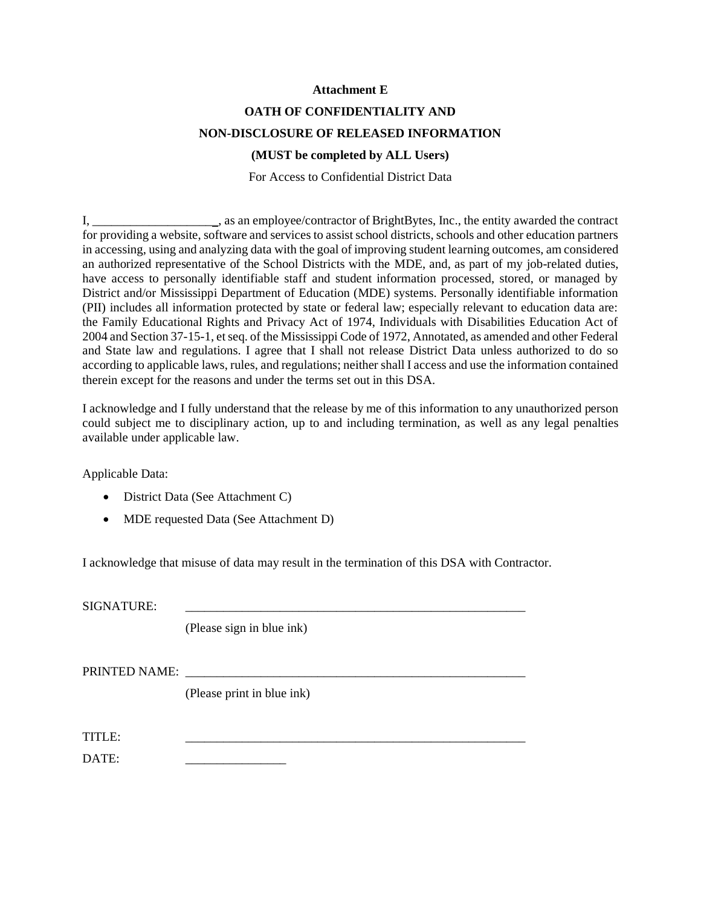#### **OATH OF CONFIDENTIALITY AND NON-DISCLOSURE OF RELEASED INFORMATION**

#### **(MUST be completed by ALL Users)**

For Access to Confidential District Data

I, \_\_\_\_\_\_\_\_\_\_\_\_\_\_\_\_\_\_\_\_, as an employee/contractor of BrightBytes, Inc., the entity awarded the contract for providing a website, software and services to assist school districts, schools and other education partners in accessing, using and analyzing data with the goal of improving student learning outcomes, am considered an authorized representative of the School Districts with the MDE, and, as part of my job-related duties, have access to personally identifiable staff and student information processed, stored, or managed by District and/or Mississippi Department of Education (MDE) systems. Personally identifiable information (PII) includes all information protected by state or federal law; especially relevant to education data are: the Family Educational Rights and Privacy Act of 1974, Individuals with Disabilities Education Act of 2004 and Section 37-15-1, et seq. of the Mississippi Code of 1972, Annotated, as amended and other Federal and State law and regulations. I agree that I shall not release District Data unless authorized to do so according to applicable laws, rules, and regulations; neither shall I access and use the information contained therein except for the reasons and under the terms set out in this DSA.

I acknowledge and I fully understand that the release by me of this information to any unauthorized person could subject me to disciplinary action, up to and including termination, as well as any legal penalties available under applicable law.

Applicable Data:

- District Data (See Attachment C)
- MDE requested Data (See Attachment D)

I acknowledge that misuse of data may result in the termination of this DSA with Contractor.

SIGNATURE:

(Please sign in blue ink)

PRINTED NAME:

(Please print in blue ink)

TITLE: \_\_\_\_\_\_\_\_\_\_\_\_\_\_\_\_\_\_\_\_\_\_\_\_\_\_\_\_\_\_\_\_\_\_\_\_\_\_\_\_\_\_\_\_\_\_\_\_\_\_\_\_\_\_

DATE: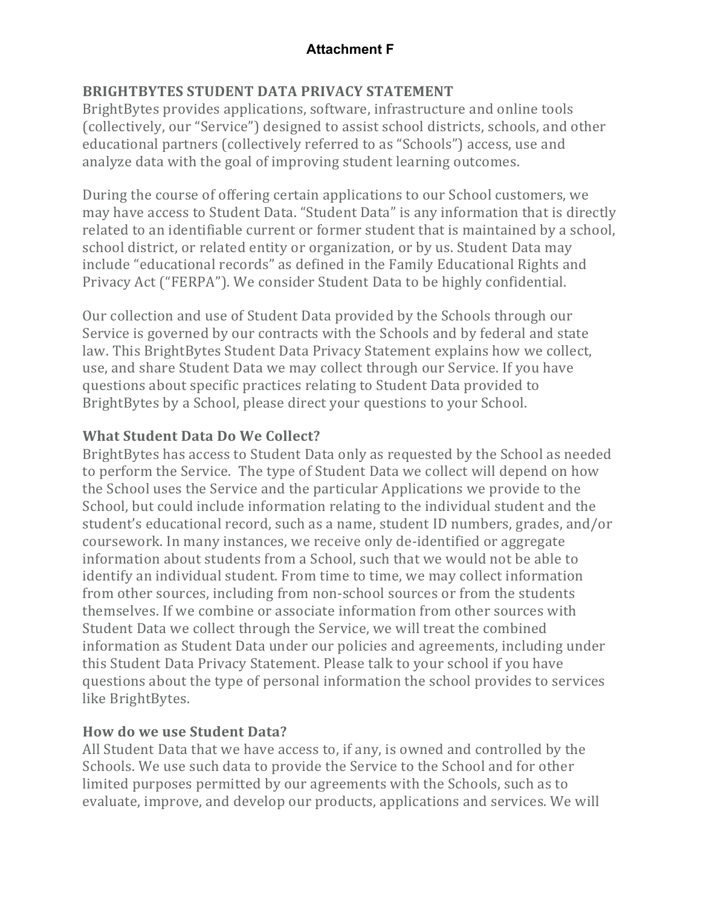### **BRIGHTBYTES STUDENT DATA PRIVACY STATEMENT**

BrightBytes provides applications, software, infrastructure and online tools (collectively, our "Service") designed to assist school districts, schools, and other educational partners (collectively referred to as "Schools") access, use and analyze data with the goal of improving student learning outcomes.

During the course of offering certain applications to our School customers, we may have access to Student Data. "Student Data" is any information that is directly related to an identifiable current or former student that is maintained by a school, school district, or related entity or organization, or by us. Student Data may include "educational records" as defined in the Family Educational Rights and Privacy Act ("FERPA"). We consider Student Data to be highly confidential.

Our collection and use of Student Data provided by the Schools through our Service is governed by our contracts with the Schools and by federal and state law. This BrightBytes Student Data Privacy Statement explains how we collect, use, and share Student Data we may collect through our Service. If you have questions about specific practices relating to Student Data provided to BrightBytes by a School, please direct your questions to your School.

## **What Student Data Do We Collect?**

BrightBytes has access to Student Data only as requested by the School as needed to perform the Service. The type of Student Data we collect will depend on how the School uses the Service and the particular Applications we provide to the School, but could include information relating to the individual student and the student's educational record, such as a name, student ID numbers, grades, and/or coursework. In many instances, we receive only de-identified or aggregate information about students from a School, such that we would not be able to identify an individual student. From time to time, we may collect information from other sources, including from non-school sources or from the students themselves. If we combine or associate information from other sources with Student Data we collect through the Service, we will treat the combined information as Student Data under our policies and agreements, including under this Student Data Privacy Statement. Please talk to your school if you have questions about the type of personal information the school provides to services like BrightBytes.

#### **How do we use Student Data?**

All Student Data that we have access to, if any, is owned and controlled by the Schools. We use such data to provide the Service to the School and for other limited purposes permitted by our agreements with the Schools, such as to evaluate, improve, and develop our products, applications and services. We will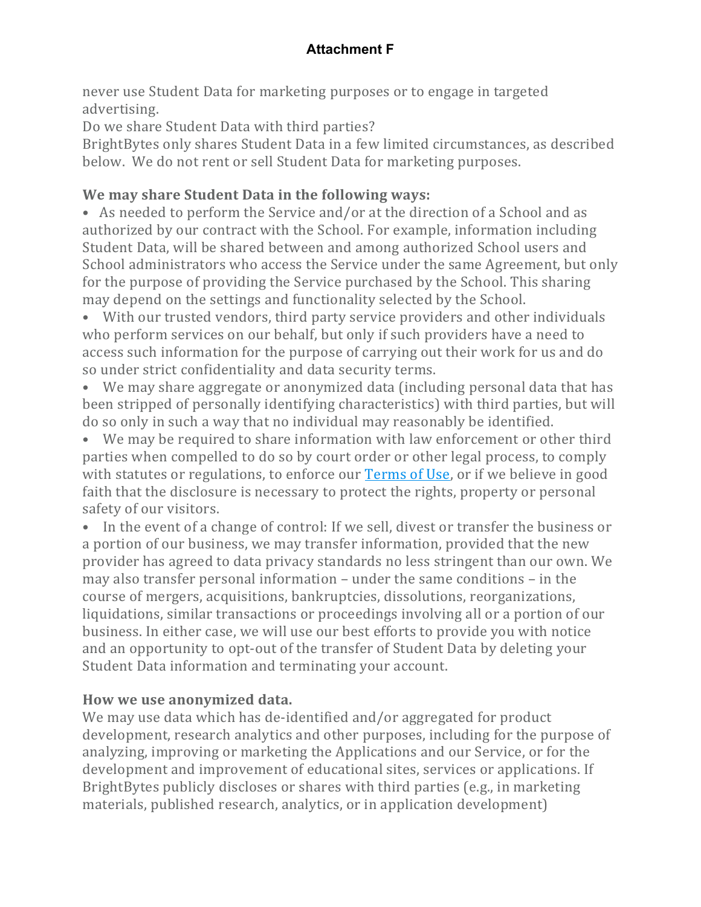never use Student Data for marketing purposes or to engage in targeted advertising.

Do we share Student Data with third parties?

BrightBytes only shares Student Data in a few limited circumstances, as described below. We do not rent or sell Student Data for marketing purposes.

# We may share Student Data in the following ways:

• As needed to perform the Service and/or at the direction of a School and as authorized by our contract with the School. For example, information including Student Data, will be shared between and among authorized School users and School administrators who access the Service under the same Agreement, but only for the purpose of providing the Service purchased by the School. This sharing may depend on the settings and functionality selected by the School.

• With our trusted vendors, third party service providers and other individuals who perform services on our behalf, but only if such providers have a need to access such information for the purpose of carrying out their work for us and do so under strict confidentiality and data security terms.

• We may share aggregate or anonymized data (including personal data that has been stripped of personally identifying characteristics) with third parties, but will do so only in such a way that no individual may reasonably be identified.

• We may be required to share information with law enforcement or other third parties when compelled to do so by court order or other legal process, to comply with statutes or regulations, to enforce our Terms of Use, or if we believe in good faith that the disclosure is necessary to protect the rights, property or personal safety of our visitors.

• In the event of a change of control: If we sell, divest or transfer the business or a portion of our business, we may transfer information, provided that the new provider has agreed to data privacy standards no less stringent than our own. We may also transfer personal information  $-$  under the same conditions  $-$  in the course of mergers, acquisitions, bankruptcies, dissolutions, reorganizations, liquidations, similar transactions or proceedings involving all or a portion of our business. In either case, we will use our best efforts to provide you with notice and an opportunity to opt-out of the transfer of Student Data by deleting your Student Data information and terminating your account.

#### How we use anonymized data.

We may use data which has de-identified and/or aggregated for product development, research analytics and other purposes, including for the purpose of analyzing, improving or marketing the Applications and our Service, or for the development and improvement of educational sites, services or applications. If BrightBytes publicly discloses or shares with third parties (e.g., in marketing materials, published research, analytics, or in application development)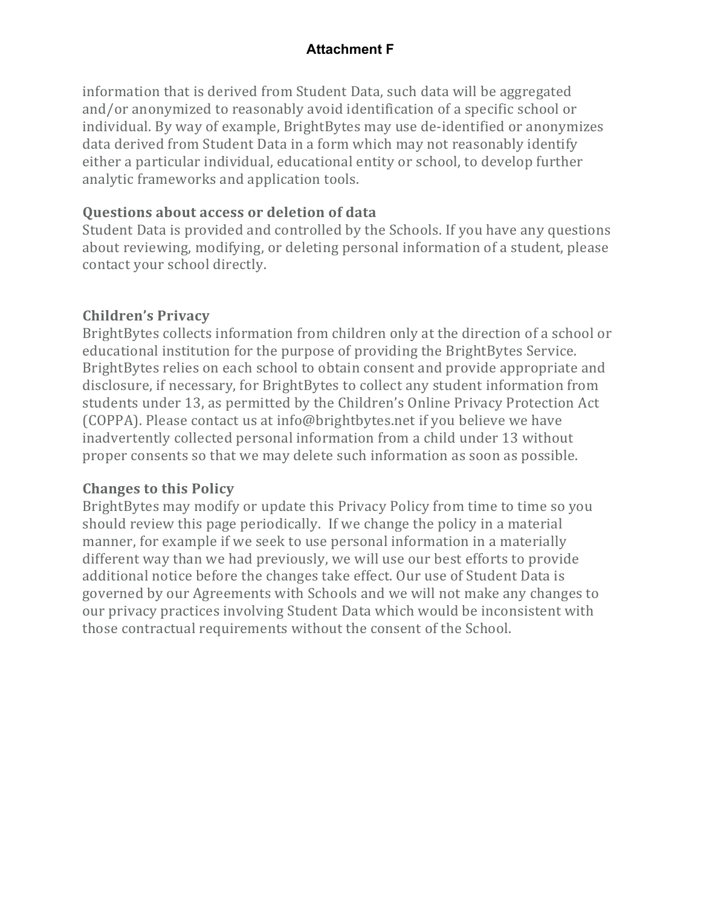information that is derived from Student Data, such data will be aggregated and/or anonymized to reasonably avoid identification of a specific school or individual. By way of example, BrightBytes may use de-identified or anonymizes data derived from Student Data in a form which may not reasonably identify either a particular individual, educational entity or school, to develop further analytic frameworks and application tools.

#### **Questions about access or deletion of data**

Student Data is provided and controlled by the Schools. If you have any questions about reviewing, modifying, or deleting personal information of a student, please contact your school directly.

#### **Children's Privacy**

BrightBytes collects information from children only at the direction of a school or educational institution for the purpose of providing the BrightBytes Service. BrightBytes relies on each school to obtain consent and provide appropriate and disclosure, if necessary, for BrightBytes to collect any student information from students under 13, as permitted by the Children's Online Privacy Protection Act (COPPA). Please contact us at info@brightbytes.net if you believe we have inadvertently collected personal information from a child under 13 without proper consents so that we may delete such information as soon as possible.

#### **Changes to this Policy**

BrightBytes may modify or update this Privacy Policy from time to time so you should review this page periodically. If we change the policy in a material manner, for example if we seek to use personal information in a materially different way than we had previously, we will use our best efforts to provide additional notice before the changes take effect. Our use of Student Data is governed by our Agreements with Schools and we will not make any changes to our privacy practices involving Student Data which would be inconsistent with those contractual requirements without the consent of the School.